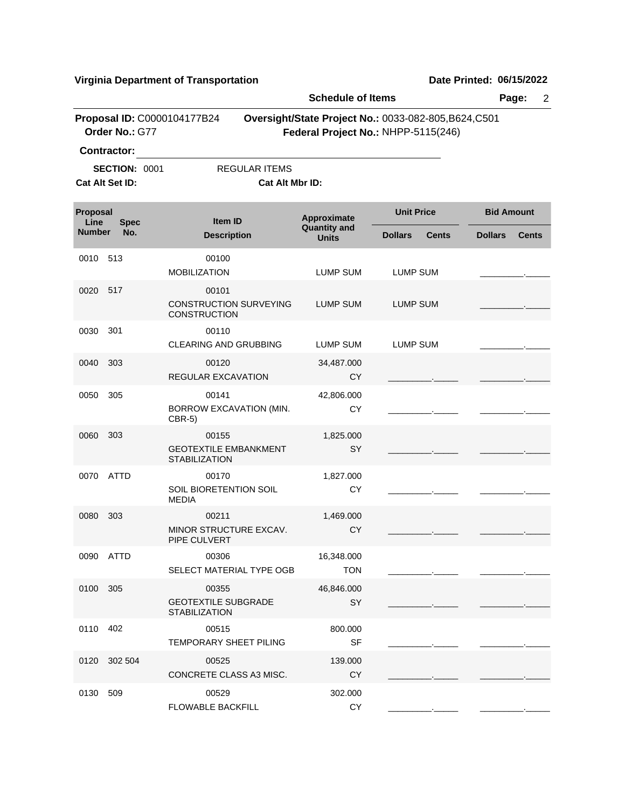|                  |                      |                                                               | <b>Schedule of Items</b>                  |                                                                                              | Page:<br>$\overline{2}$        |  |
|------------------|----------------------|---------------------------------------------------------------|-------------------------------------------|----------------------------------------------------------------------------------------------|--------------------------------|--|
|                  | Order No.: G77       | Proposal ID: C0000104177B24                                   |                                           | Oversight/State Project No.: 0033-082-805, B624, C501<br>Federal Project No.: NHPP-5115(246) |                                |  |
|                  | Contractor:          |                                                               |                                           |                                                                                              |                                |  |
|                  | <b>SECTION: 0001</b> | <b>REGULAR ITEMS</b>                                          |                                           |                                                                                              |                                |  |
|                  | Cat Alt Set ID:      | Cat Alt Mbr ID:                                               |                                           |                                                                                              |                                |  |
| Proposal<br>Line | <b>Spec</b>          | <b>Item ID</b>                                                | <b>Approximate</b><br><b>Quantity and</b> | <b>Unit Price</b>                                                                            | <b>Bid Amount</b>              |  |
| <b>Number</b>    | No.                  | <b>Description</b>                                            | <b>Units</b>                              | <b>Dollars</b><br><b>Cents</b>                                                               | <b>Dollars</b><br><b>Cents</b> |  |
| 0010             | 513                  | 00100<br><b>MOBILIZATION</b>                                  | <b>LUMP SUM</b>                           | LUMP SUM                                                                                     |                                |  |
| 0020             | 517                  | 00101<br><b>CONSTRUCTION SURVEYING</b><br><b>CONSTRUCTION</b> | <b>LUMP SUM</b>                           | <b>LUMP SUM</b>                                                                              |                                |  |
| 0030             | 301                  | 00110<br><b>CLEARING AND GRUBBING</b>                         | LUMP SUM                                  | LUMP SUM                                                                                     |                                |  |
| 0040             | 303                  | 00120<br><b>REGULAR EXCAVATION</b>                            | 34,487.000<br><b>CY</b>                   |                                                                                              |                                |  |
| 0050             | 305                  | 00141<br>BORROW EXCAVATION (MIN.<br>$CBR-5)$                  | 42,806.000<br><b>CY</b>                   |                                                                                              |                                |  |
| 0060             | 303                  | 00155<br><b>GEOTEXTILE EMBANKMENT</b><br><b>STABILIZATION</b> | 1,825.000<br>SY                           |                                                                                              |                                |  |
| 0070             | ATTD                 | 00170<br>SOIL BIORETENTION SOIL<br><b>MEDIA</b>               | 1,827.000<br><b>CY</b>                    |                                                                                              |                                |  |
| 0080             | 303                  | 00211<br>MINOR STRUCTURE EXCAV.<br>PIPE CULVERT               | 1,469.000<br><b>CY</b>                    |                                                                                              |                                |  |
|                  | 0090 ATTD            | 00306<br>SELECT MATERIAL TYPE OGB                             | 16,348.000<br><b>TON</b>                  |                                                                                              |                                |  |
| 0100 305         |                      | 00355<br><b>GEOTEXTILE SUBGRADE</b><br><b>STABILIZATION</b>   | 46,846.000<br>SY                          |                                                                                              |                                |  |
| 0110 402         |                      | 00515<br>TEMPORARY SHEET PILING                               | 800.000<br><b>SF</b>                      |                                                                                              |                                |  |
|                  | 0120 302 504         | 00525<br>CONCRETE CLASS A3 MISC.                              | 139.000<br><b>CY</b>                      |                                                                                              |                                |  |
| 0130 509         |                      | 00529<br>FLOWABLE BACKFILL                                    | 302.000<br>CY                             |                                                                                              |                                |  |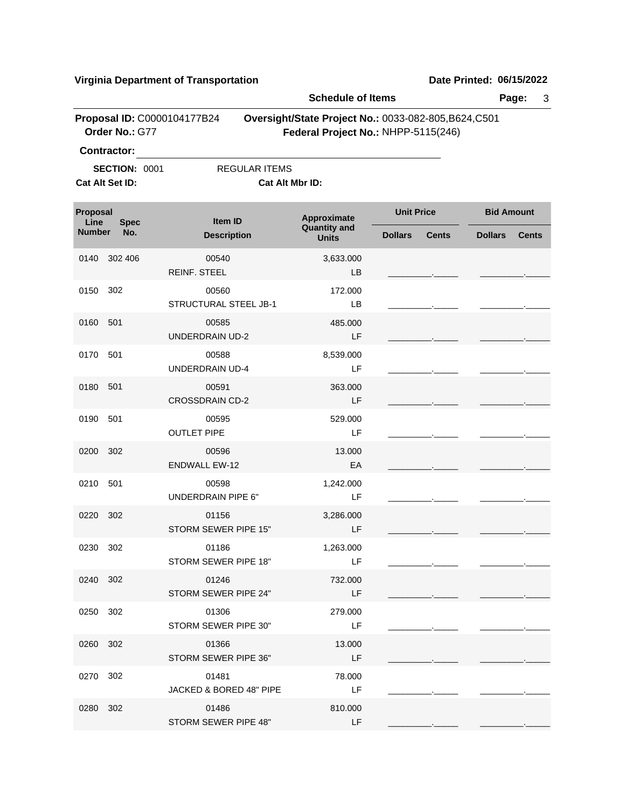|                  |                      | <b>Virginia Department of Transportation</b> |                      |                                                                                              |                   |              | Date Printed: 06/15/2022 |              |
|------------------|----------------------|----------------------------------------------|----------------------|----------------------------------------------------------------------------------------------|-------------------|--------------|--------------------------|--------------|
|                  |                      |                                              |                      | <b>Schedule of Items</b>                                                                     |                   |              |                          | Page:<br>3   |
|                  | Order No.: G77       | Proposal ID: C0000104177B24                  |                      | Oversight/State Project No.: 0033-082-805, B624, C501<br>Federal Project No.: NHPP-5115(246) |                   |              |                          |              |
|                  | <b>Contractor:</b>   |                                              |                      |                                                                                              |                   |              |                          |              |
| Cat Alt Set ID:  | <b>SECTION: 0001</b> |                                              | <b>REGULAR ITEMS</b> | Cat Alt Mbr ID:                                                                              |                   |              |                          |              |
|                  |                      |                                              |                      |                                                                                              |                   |              |                          |              |
| Proposal<br>Line | <b>Spec</b>          | Item ID                                      |                      | Approximate                                                                                  | <b>Unit Price</b> |              | <b>Bid Amount</b>        |              |
| <b>Number</b>    | No.                  | <b>Description</b>                           |                      | <b>Quantity and</b><br><b>Units</b>                                                          | <b>Dollars</b>    | <b>Cents</b> | <b>Dollars</b>           | <b>Cents</b> |
| 0140             | 302 406              | 00540<br>REINF. STEEL                        |                      | 3,633.000<br>LB                                                                              |                   |              |                          |              |
| 0150             | 302                  | 00560<br>STRUCTURAL STEEL JB-1               |                      | 172.000<br>LB                                                                                |                   |              |                          |              |
| 0160             | 501                  | 00585<br><b>UNDERDRAIN UD-2</b>              |                      | 485.000<br>LF                                                                                |                   |              |                          |              |
| 0170             | 501                  | 00588<br><b>UNDERDRAIN UD-4</b>              |                      | 8,539.000<br>LF                                                                              |                   |              |                          |              |
| 0180             | 501                  | 00591<br><b>CROSSDRAIN CD-2</b>              |                      | 363.000<br>LF                                                                                |                   |              |                          |              |
| 0190             | 501                  | 00595<br><b>OUTLET PIPE</b>                  |                      | 529.000<br>LF                                                                                |                   |              |                          |              |
| 0200             | 302                  | 00596<br><b>ENDWALL EW-12</b>                |                      | 13.000<br>EA                                                                                 |                   |              |                          |              |
| 0210             | 501                  | 00598<br><b>UNDERDRAIN PIPE 6"</b>           |                      | 1,242.000<br>LF                                                                              |                   |              |                          |              |
| 0220             | 302                  | 01156<br>STORM SEWER PIPE 15"                |                      | 3,286.000<br>– LF                                                                            |                   |              |                          |              |
| 0230 302         |                      | 01186<br>STORM SEWER PIPE 18"                |                      | 1,263.000<br>LF                                                                              |                   |              |                          |              |
| 0240 302         |                      | 01246<br>STORM SEWER PIPE 24"                |                      | 732.000<br>LF                                                                                |                   |              |                          |              |
| 0250 302         |                      | 01306<br>STORM SEWER PIPE 30"                |                      | 279.000<br>LF                                                                                |                   |              |                          |              |
| 0260 302         |                      | 01366<br>STORM SEWER PIPE 36"                |                      | 13.000<br>LF                                                                                 |                   |              |                          |              |
| 0270 302         |                      | 01481<br>JACKED & BORED 48" PIPE             |                      | 78.000<br>LF                                                                                 |                   |              |                          |              |
| 0280 302         |                      | 01486                                        |                      | 810.000                                                                                      |                   |              |                          |              |

STORM SEWER PIPE 48" LF \_\_\_\_\_\_\_\_\_.\_\_\_\_\_ \_\_\_\_\_\_\_\_\_.\_\_\_\_\_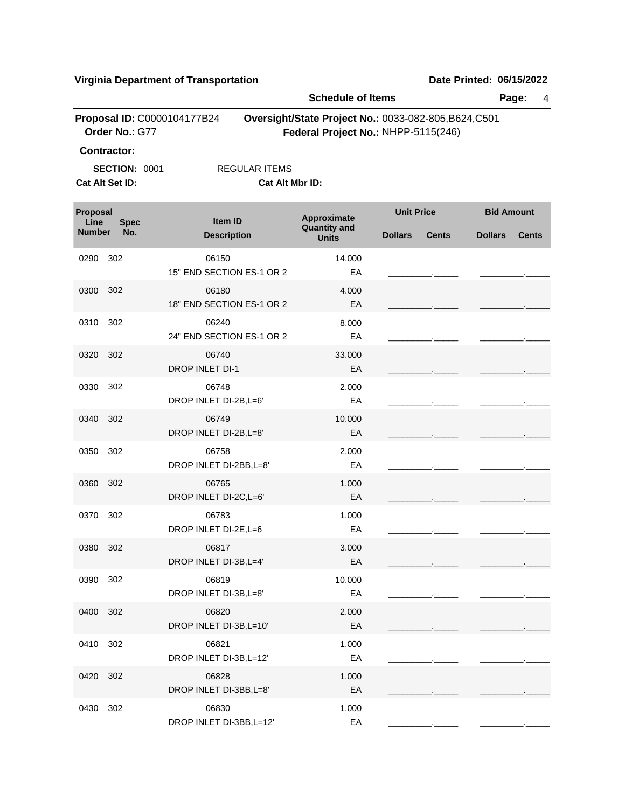|                  |                                         |                                    | <b>Schedule of Items</b>                              |                                     |                   |              |                   | Page:<br>4   |  |  |
|------------------|-----------------------------------------|------------------------------------|-------------------------------------------------------|-------------------------------------|-------------------|--------------|-------------------|--------------|--|--|
|                  | Order No.: G77                          | Proposal ID: C0000104177B24        | Oversight/State Project No.: 0033-082-805, B624, C501 | Federal Project No.: NHPP-5115(246) |                   |              |                   |              |  |  |
|                  | Contractor:                             |                                    |                                                       |                                     |                   |              |                   |              |  |  |
|                  | <b>SECTION: 0001</b><br>Cat Alt Set ID: |                                    | <b>REGULAR ITEMS</b><br>Cat Alt Mbr ID:               |                                     |                   |              |                   |              |  |  |
| Proposal<br>Line | <b>Spec</b>                             | Item ID                            |                                                       | Approximate<br><b>Quantity and</b>  | <b>Unit Price</b> |              | <b>Bid Amount</b> |              |  |  |
| <b>Number</b>    | No.                                     | <b>Description</b>                 |                                                       | <b>Units</b>                        | <b>Dollars</b>    | <b>Cents</b> | <b>Dollars</b>    | <b>Cents</b> |  |  |
| 0290             | 302                                     | 06150<br>15" END SECTION ES-1 OR 2 |                                                       | 14.000<br>ЕA                        |                   |              |                   |              |  |  |
| 0300             | 302                                     | 06180<br>18" END SECTION ES-1 OR 2 |                                                       | 4.000<br>EA                         |                   |              |                   |              |  |  |
| 0310             | 302                                     | 06240<br>24" END SECTION ES-1 OR 2 |                                                       | 8.000<br>ЕA                         |                   |              |                   |              |  |  |
| 0320             | 302                                     | 06740<br><b>DROP INLET DI-1</b>    |                                                       | 33.000<br>EA                        |                   |              |                   |              |  |  |
| 0330             | 302                                     | 06748<br>DROP INLET DI-2B, L=6'    |                                                       | 2.000<br>EA                         |                   |              |                   |              |  |  |
| 0340             | 302                                     | 06749<br>DROP INLET DI-2B, L=8'    |                                                       | 10.000<br>EA                        |                   |              |                   |              |  |  |
| 0350             | 302                                     | 06758<br>DROP INLET DI-2BB, L=8'   |                                                       | 2.000<br>ЕA                         |                   |              |                   |              |  |  |
| 0360             | 302                                     | 06765<br>DROP INLET DI-2C, L=6'    |                                                       | 1.000<br>EA                         |                   |              |                   |              |  |  |
| 0370             | 302                                     | 06783<br>DROP INLET DI-2E, L=6     |                                                       | 1.000<br>EA                         |                   |              |                   |              |  |  |
| 0380 302         |                                         | 06817<br>DROP INLET DI-3B, L=4'    |                                                       | 3.000<br>EA                         |                   |              |                   |              |  |  |
| 0390             | 302                                     | 06819<br>DROP INLET DI-3B, L=8'    |                                                       | 10.000<br>EA                        |                   |              |                   |              |  |  |
| 0400             | 302                                     | 06820<br>DROP INLET DI-3B, L=10'   |                                                       | 2.000<br>EA                         |                   |              |                   |              |  |  |
| 0410             | 302                                     | 06821<br>DROP INLET DI-3B, L=12'   |                                                       | 1.000<br>EA                         |                   |              |                   |              |  |  |
| 0420             | 302                                     | 06828<br>DROP INLET DI-3BB, L=8'   |                                                       | 1.000<br>EA                         |                   |              |                   |              |  |  |
| 0430             | 302                                     | 06830<br>DROP INLET DI-3BB, L=12'  |                                                       | 1.000<br>EA                         |                   |              |                   |              |  |  |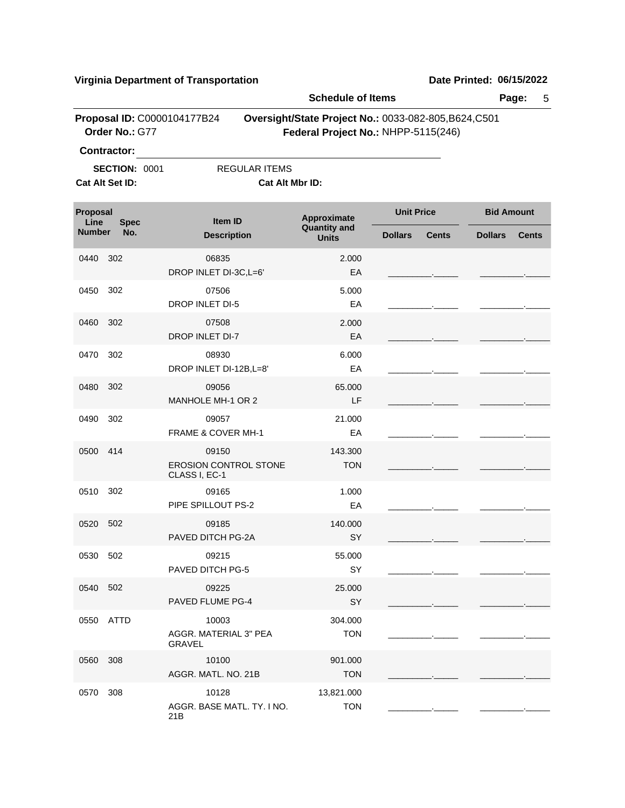|                  |                                         |                                                        | <b>Schedule of Items</b>                                                                     |                   |                                                                                                                                                                                                                                      |                   | Page:<br>5   |
|------------------|-----------------------------------------|--------------------------------------------------------|----------------------------------------------------------------------------------------------|-------------------|--------------------------------------------------------------------------------------------------------------------------------------------------------------------------------------------------------------------------------------|-------------------|--------------|
|                  | Order No.: G77                          | Proposal ID: C0000104177B24                            | Oversight/State Project No.: 0033-082-805, B624, C501<br>Federal Project No.: NHPP-5115(246) |                   |                                                                                                                                                                                                                                      |                   |              |
|                  | <b>Contractor:</b>                      |                                                        |                                                                                              |                   |                                                                                                                                                                                                                                      |                   |              |
|                  | <b>SECTION: 0001</b><br>Cat Alt Set ID: | <b>REGULAR ITEMS</b><br>Cat Alt Mbr ID:                |                                                                                              |                   |                                                                                                                                                                                                                                      |                   |              |
|                  |                                         |                                                        |                                                                                              |                   |                                                                                                                                                                                                                                      |                   |              |
| Proposal<br>Line | <b>Spec</b>                             | Item ID                                                | Approximate                                                                                  | <b>Unit Price</b> |                                                                                                                                                                                                                                      | <b>Bid Amount</b> |              |
| <b>Number</b>    | No.                                     | <b>Description</b>                                     | <b>Quantity and</b><br><b>Units</b>                                                          | <b>Dollars</b>    | <b>Cents</b>                                                                                                                                                                                                                         | <b>Dollars</b>    | <b>Cents</b> |
| 0440             | 302                                     | 06835<br>DROP INLET DI-3C, L=6'                        | 2.000<br>EA                                                                                  |                   |                                                                                                                                                                                                                                      |                   |              |
| 0450             | 302                                     | 07506<br><b>DROP INLET DI-5</b>                        | 5.000<br>EA                                                                                  |                   |                                                                                                                                                                                                                                      |                   |              |
| 0460             | 302                                     | 07508<br><b>DROP INLET DI-7</b>                        | 2.000<br>EA                                                                                  |                   | the company of the com-                                                                                                                                                                                                              |                   |              |
| 0470             | 302                                     | 08930<br>DROP INLET DI-12B, L=8'                       | 6.000<br>EA                                                                                  |                   | and the control of                                                                                                                                                                                                                   |                   |              |
| 0480             | 302                                     | 09056<br><b>MANHOLE MH-1 OR 2</b>                      | 65.000<br>LF                                                                                 |                   |                                                                                                                                                                                                                                      |                   |              |
| 0490             | 302                                     | 09057<br><b>FRAME &amp; COVER MH-1</b>                 | 21.000<br>EA                                                                                 |                   | <u> 1989 - Jan Barnett, francuski politik (d. 1989)</u>                                                                                                                                                                              |                   |              |
| 0500             | 414                                     | 09150<br><b>EROSION CONTROL STONE</b><br>CLASS I, EC-1 | 143.300<br><b>TON</b>                                                                        |                   | the company of the company                                                                                                                                                                                                           |                   |              |
| 0510             | 302                                     | 09165<br>PIPE SPILLOUT PS-2                            | 1.000<br>EA                                                                                  |                   |                                                                                                                                                                                                                                      |                   |              |
| 0520             | 502                                     | 09185<br>PAVED DITCH PG-2A                             | 140.000<br>SY                                                                                |                   | <u>and the community of the community of the community of the community of the community of the community of the community of the community of the community of the community of the community of the community of the community</u> |                   |              |
| 0530 502         |                                         | 09215<br>PAVED DITCH PG-5                              | 55.000<br>SY                                                                                 |                   |                                                                                                                                                                                                                                      |                   |              |
| 0540 502         |                                         | 09225<br><b>PAVED FLUME PG-4</b>                       | 25.000<br>SY                                                                                 |                   |                                                                                                                                                                                                                                      |                   |              |
| 0550             | ATTD                                    | 10003<br>AGGR. MATERIAL 3" PEA<br>GRAVEL               | 304.000<br><b>TON</b>                                                                        |                   |                                                                                                                                                                                                                                      |                   |              |
| 0560             | 308                                     | 10100<br>AGGR, MATL, NO. 21B                           | 901.000<br><b>TON</b>                                                                        |                   |                                                                                                                                                                                                                                      |                   |              |
| 0570             | 308                                     | 10128<br>AGGR. BASE MATL. TY. I NO.<br>21B             | 13,821.000<br><b>TON</b>                                                                     |                   |                                                                                                                                                                                                                                      |                   |              |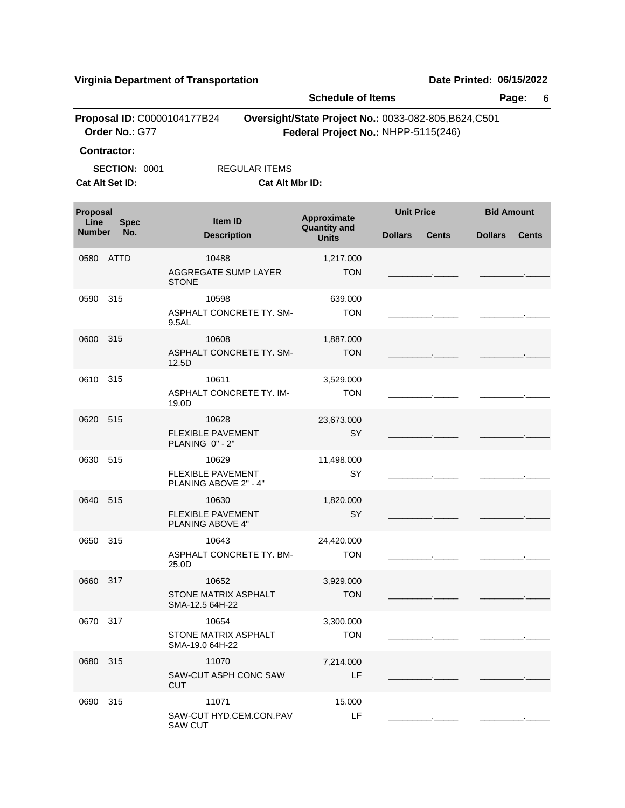|                  |                    |                                                            |                                         | <b>Schedule of Items</b>                                                                     |                   |              |                   | Page:<br>6   |
|------------------|--------------------|------------------------------------------------------------|-----------------------------------------|----------------------------------------------------------------------------------------------|-------------------|--------------|-------------------|--------------|
|                  | Order No.: G77     | Proposal ID: C0000104177B24                                |                                         | Oversight/State Project No.: 0033-082-805, B624, C501<br>Federal Project No.: NHPP-5115(246) |                   |              |                   |              |
|                  | <b>Contractor:</b> |                                                            |                                         |                                                                                              |                   |              |                   |              |
| Cat Alt Set ID:  | SECTION: 0001      |                                                            | <b>REGULAR ITEMS</b><br>Cat Alt Mbr ID: |                                                                                              |                   |              |                   |              |
| Proposal<br>Line | <b>Spec</b>        | <b>Item ID</b>                                             |                                         | Approximate<br><b>Quantity and</b>                                                           | <b>Unit Price</b> |              | <b>Bid Amount</b> |              |
| <b>Number</b>    | No.                | <b>Description</b>                                         |                                         | <b>Units</b>                                                                                 | <b>Dollars</b>    | <b>Cents</b> | <b>Dollars</b>    | <b>Cents</b> |
| 0580             | ATTD               | 10488<br>AGGREGATE SUMP LAYER<br><b>STONE</b>              |                                         | 1,217.000<br><b>TON</b>                                                                      |                   |              |                   |              |
| 0590             | 315                | 10598                                                      |                                         | 639.000                                                                                      |                   |              |                   |              |
|                  |                    | ASPHALT CONCRETE TY, SM-<br>9.5AL                          |                                         | <b>TON</b>                                                                                   |                   |              |                   |              |
| 0600             | 315                | 10608                                                      |                                         | 1,887.000                                                                                    |                   |              |                   |              |
|                  |                    | ASPHALT CONCRETE TY. SM-<br>12.5D                          |                                         | <b>TON</b>                                                                                   |                   |              |                   |              |
| 0610             | 315                | 10611                                                      |                                         | 3,529.000                                                                                    |                   |              |                   |              |
|                  |                    | ASPHALT CONCRETE TY. IM-<br>19.0D                          |                                         | <b>TON</b>                                                                                   |                   |              |                   |              |
| 0620             | 515                | 10628<br><b>FLEXIBLE PAVEMENT</b><br>PLANING 0" - 2"       |                                         | 23,673.000<br>SY                                                                             |                   |              |                   |              |
| 0630             | 515                | 10629<br><b>FLEXIBLE PAVEMENT</b><br>PLANING ABOVE 2" - 4" |                                         | 11,498.000<br>SY                                                                             |                   |              |                   |              |
| 0640             | 515                | 10630<br><b>FLEXIBLE PAVEMENT</b><br>PLANING ABOVE 4"      |                                         | 1,820.000<br>SY                                                                              |                   |              |                   |              |
| 0650             | 315                | 10643<br>ASPHALT CONCRETE TY. BM-<br>25.0D                 |                                         | 24,420.000<br><b>TON</b>                                                                     |                   |              |                   |              |
| 0660 317         |                    | 10652<br>STONE MATRIX ASPHALT<br>SMA-12.5 64H-22           |                                         | 3,929.000<br><b>TON</b>                                                                      |                   |              |                   |              |
| 0670             | 317                | 10654<br>STONE MATRIX ASPHALT<br>SMA-19.0 64H-22           |                                         | 3,300.000<br><b>TON</b>                                                                      |                   |              |                   |              |
| 0680             | 315                | 11070<br>SAW-CUT ASPH CONC SAW<br><b>CUT</b>               |                                         | 7,214.000<br>LF                                                                              |                   |              |                   |              |
| 0690             | 315                | 11071<br>SAW-CUT HYD.CEM.CON.PAV<br><b>SAW CUT</b>         |                                         | 15.000<br>LF                                                                                 |                   |              |                   |              |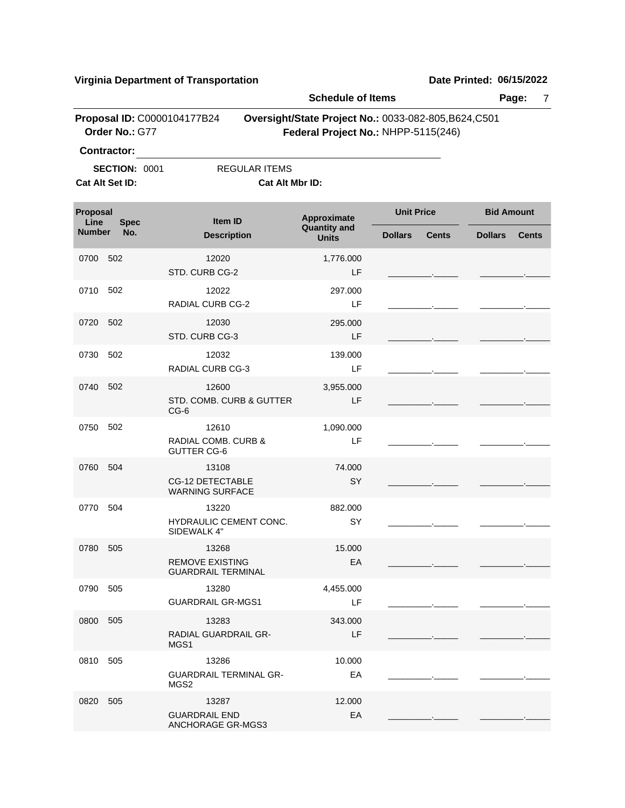|                  |                      | riiginia Department or Transportation                         | <b>Schedule of Items</b>                                                                     |                   |              | <b>שעוט דוווורט. ט</b> טוויווא | Page:<br>7   |
|------------------|----------------------|---------------------------------------------------------------|----------------------------------------------------------------------------------------------|-------------------|--------------|--------------------------------|--------------|
|                  | Order No.: G77       | Proposal ID: C0000104177B24                                   | Oversight/State Project No.: 0033-082-805, B624, C501<br>Federal Project No.: NHPP-5115(246) |                   |              |                                |              |
|                  | Contractor:          |                                                               |                                                                                              |                   |              |                                |              |
| Cat Alt Set ID:  | <b>SECTION: 0001</b> | <b>REGULAR ITEMS</b><br>Cat Alt Mbr ID:                       |                                                                                              |                   |              |                                |              |
| Proposal<br>Line | <b>Spec</b>          | Item ID                                                       | Approximate                                                                                  | <b>Unit Price</b> |              | <b>Bid Amount</b>              |              |
| <b>Number</b>    | No.                  | <b>Description</b>                                            | <b>Quantity and</b><br><b>Units</b>                                                          | <b>Dollars</b>    | <b>Cents</b> | <b>Dollars</b>                 | <b>Cents</b> |
| 0700             | 502                  | 12020<br>STD. CURB CG-2                                       | 1,776.000<br>LF                                                                              |                   |              |                                |              |
| 0710             | 502                  | 12022<br><b>RADIAL CURB CG-2</b>                              | 297.000<br>LF                                                                                |                   |              |                                |              |
| 0720             | 502                  | 12030<br>STD. CURB CG-3                                       | 295.000<br>LF                                                                                |                   |              |                                |              |
| 0730             | 502                  | 12032<br>RADIAL CURB CG-3                                     | 139.000<br>LF                                                                                |                   |              |                                |              |
| 0740             | 502                  | 12600<br>STD. COMB. CURB & GUTTER<br>$CG-6$                   | 3,955.000<br>LF                                                                              |                   |              |                                |              |
| 0750             | 502                  | 12610<br><b>RADIAL COMB. CURB &amp;</b><br><b>GUTTER CG-6</b> | 1,090.000<br>LF                                                                              |                   |              |                                |              |
| 0760             | 504                  | 13108<br><b>CG-12 DETECTABLE</b><br><b>WARNING SURFACE</b>    | 74.000<br>SY                                                                                 |                   |              |                                |              |
| 0770             | 504                  | 13220<br>HYDRAULIC CEMENT CONC.<br>SIDEWALK 4"                | 882.000<br>SY                                                                                |                   |              |                                |              |
| 0780 505         |                      | 13268<br><b>REMOVE EXISTING</b><br><b>GUARDRAIL TERMINAL</b>  | 15.000<br>EA                                                                                 |                   |              |                                |              |
| 0790 505         |                      | 13280<br><b>GUARDRAIL GR-MGS1</b>                             | 4,455.000<br>LF                                                                              |                   |              |                                |              |
| 0800             | 505                  | 13283<br>RADIAL GUARDRAIL GR-<br>MGS1                         | 343.000<br>LF                                                                                |                   |              |                                |              |
| 0810             | 505                  | 13286<br><b>GUARDRAIL TERMINAL GR-</b><br>MGS2                | 10.000<br>EA                                                                                 |                   |              |                                |              |
| 0820             | 505                  | 13287<br><b>GUARDRAIL END</b><br>ANCHORAGE GR-MGS3            | 12.000<br>EA                                                                                 |                   |              |                                |              |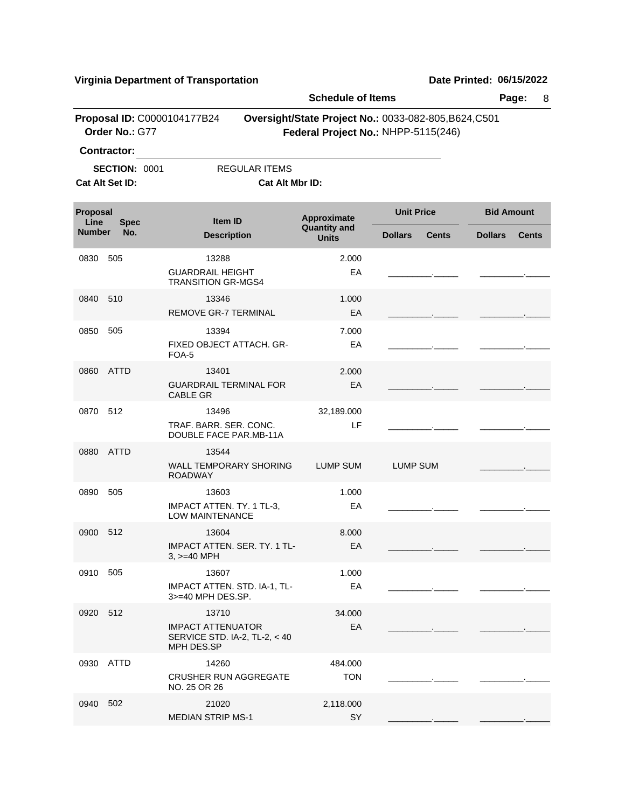|                  |                                         |                                                                                  |                        | <b>Schedule of Items</b>                                                                     |                 |                   |                |                   |  |
|------------------|-----------------------------------------|----------------------------------------------------------------------------------|------------------------|----------------------------------------------------------------------------------------------|-----------------|-------------------|----------------|-------------------|--|
|                  | Order No.: G77                          | Proposal ID: C0000104177B24                                                      |                        | Oversight/State Project No.: 0033-082-805, B624, C501<br>Federal Project No.: NHPP-5115(246) |                 |                   |                |                   |  |
|                  | <b>Contractor:</b>                      |                                                                                  |                        |                                                                                              |                 |                   |                |                   |  |
|                  | <b>SECTION: 0001</b><br>Cat Alt Set ID: |                                                                                  | <b>REGULAR ITEMS</b>   |                                                                                              |                 |                   |                |                   |  |
|                  |                                         |                                                                                  | <b>Cat Alt Mbr ID:</b> |                                                                                              |                 |                   |                |                   |  |
| Proposal<br>Line | <b>Spec</b>                             | <b>Item ID</b>                                                                   |                        | Approximate                                                                                  |                 | <b>Unit Price</b> |                | <b>Bid Amount</b> |  |
| <b>Number</b>    | No.                                     | <b>Description</b>                                                               |                        | <b>Quantity and</b><br><b>Units</b>                                                          | <b>Dollars</b>  | <b>Cents</b>      | <b>Dollars</b> | <b>Cents</b>      |  |
| 0830             | 505                                     | 13288<br><b>GUARDRAIL HEIGHT</b><br><b>TRANSITION GR-MGS4</b>                    |                        | 2.000<br>EA                                                                                  |                 |                   |                |                   |  |
| 0840             | 510                                     | 13346<br>REMOVE GR-7 TERMINAL                                                    |                        | 1.000<br>EA                                                                                  |                 |                   |                |                   |  |
| 0850             | 505                                     | 13394<br>FIXED OBJECT ATTACH. GR-<br>FOA-5                                       |                        | 7.000<br>EA                                                                                  |                 |                   |                |                   |  |
| 0860             | <b>ATTD</b>                             | 13401<br><b>GUARDRAIL TERMINAL FOR</b><br><b>CABLE GR</b>                        |                        | 2.000<br>EA                                                                                  |                 |                   |                |                   |  |
| 0870             | 512                                     | 13496<br>TRAF. BARR. SER. CONC.<br>DOUBLE FACE PAR.MB-11A                        |                        | 32,189.000<br>LF                                                                             |                 |                   |                |                   |  |
| 0880             | <b>ATTD</b>                             | 13544<br><b>WALL TEMPORARY SHORING</b><br><b>ROADWAY</b>                         |                        | <b>LUMP SUM</b>                                                                              | <b>LUMP SUM</b> |                   |                |                   |  |
| 0890             | 505                                     | 13603<br>IMPACT ATTEN. TY. 1 TL-3,<br><b>LOW MAINTENANCE</b>                     |                        | 1.000<br>EA                                                                                  |                 |                   |                |                   |  |
| 0900             | 512                                     | 13604<br>IMPACT ATTEN. SER. TY. 1 TL-<br>$3, \geq 40$ MPH                        |                        | 8.000<br>EA                                                                                  |                 |                   |                |                   |  |
| 0910 505         |                                         | 13607<br>IMPACT ATTEN. STD. IA-1, TL-<br>3>=40 MPH DES.SP.                       |                        | 1.000<br>EA                                                                                  |                 |                   |                |                   |  |
| 0920 512         |                                         | 13710<br><b>IMPACT ATTENUATOR</b><br>SERVICE STD. IA-2, TL-2, < 40<br>MPH DES.SP |                        | 34.000<br>EA                                                                                 |                 |                   |                |                   |  |
|                  | 0930 ATTD                               | 14260<br><b>CRUSHER RUN AGGREGATE</b><br>NO. 25 OR 26                            |                        | 484.000<br><b>TON</b>                                                                        |                 |                   |                |                   |  |
| 0940             | 502                                     | 21020<br><b>MEDIAN STRIP MS-1</b>                                                |                        | 2,118.000<br>SY                                                                              |                 |                   |                |                   |  |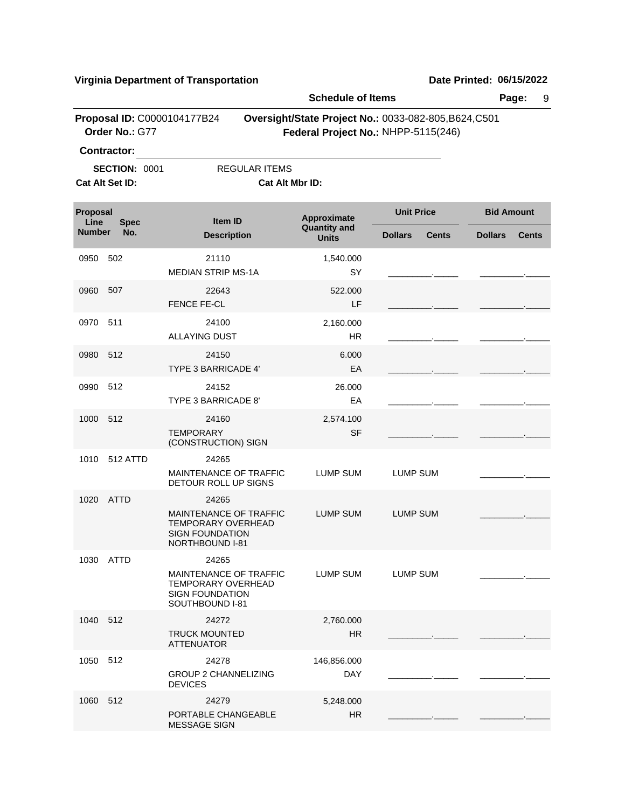|                  | Proposal ID: C0000104177B24             |                                                                                                           | <b>Schedule of Items</b>           |                                                                                              | Page:<br>9                     |
|------------------|-----------------------------------------|-----------------------------------------------------------------------------------------------------------|------------------------------------|----------------------------------------------------------------------------------------------|--------------------------------|
|                  | Order No.: G77                          |                                                                                                           |                                    | Oversight/State Project No.: 0033-082-805, B624, C501<br>Federal Project No.: NHPP-5115(246) |                                |
|                  | <b>Contractor:</b>                      |                                                                                                           |                                    |                                                                                              |                                |
|                  | <b>SECTION: 0001</b><br>Cat Alt Set ID: | <b>REGULAR ITEMS</b><br>Cat Alt Mbr ID:                                                                   |                                    |                                                                                              |                                |
| Proposal<br>Line | <b>Spec</b>                             | Item ID                                                                                                   | Approximate<br><b>Quantity and</b> | <b>Unit Price</b>                                                                            | <b>Bid Amount</b>              |
| <b>Number</b>    | No.                                     | <b>Description</b>                                                                                        | <b>Units</b>                       | <b>Dollars</b><br><b>Cents</b>                                                               | <b>Dollars</b><br><b>Cents</b> |
| 0950             | 502                                     | 21110<br><b>MEDIAN STRIP MS-1A</b>                                                                        | 1,540.000<br>SY                    |                                                                                              |                                |
| 0960             | 507                                     | 22643<br><b>FENCE FE-CL</b>                                                                               | 522.000<br>LF                      |                                                                                              |                                |
| 0970             | 511                                     | 24100<br><b>ALLAYING DUST</b>                                                                             | 2,160.000<br><b>HR</b>             |                                                                                              |                                |
| 0980 512         |                                         | 24150<br><b>TYPE 3 BARRICADE 4'</b>                                                                       | 6.000<br>EA                        |                                                                                              |                                |
| 0990             | 512                                     | 24152<br>TYPE 3 BARRICADE 8'                                                                              | 26.000<br>EA                       |                                                                                              |                                |
| 1000             | 512                                     | 24160<br><b>TEMPORARY</b><br>(CONSTRUCTION) SIGN                                                          | 2,574.100<br><b>SF</b>             |                                                                                              |                                |
| 1010             | 512 ATTD                                | 24265<br>MAINTENANCE OF TRAFFIC<br>DETOUR ROLL UP SIGNS                                                   | LUMP SUM                           | LUMP SUM                                                                                     |                                |
| 1020             | ATTD                                    | 24265<br>MAINTENANCE OF TRAFFIC<br><b>TEMPORARY OVERHEAD</b><br><b>SIGN FOUNDATION</b><br>NORTHBOUND I-81 | <b>LUMP SUM</b>                    | <b>LUMP SUM</b>                                                                              |                                |
|                  | 1030 ATTD                               | 24265<br>MAINTENANCE OF TRAFFIC<br><b>TEMPORARY OVERHEAD</b><br><b>SIGN FOUNDATION</b><br>SOUTHBOUND I-81 | LUMP SUM                           | <b>LUMP SUM</b>                                                                              |                                |
| 1040 512         |                                         | 24272<br><b>TRUCK MOUNTED</b><br><b>ATTENUATOR</b>                                                        | 2,760.000<br><b>HR</b>             |                                                                                              |                                |
| 1050             | -512                                    | 24278<br><b>GROUP 2 CHANNELIZING</b><br><b>DEVICES</b>                                                    | 146,856.000<br><b>DAY</b>          |                                                                                              |                                |
| 1060 512         |                                         | 24279<br>PORTABLE CHANGEABLE<br><b>MESSAGE SIGN</b>                                                       | 5,248.000<br><b>HR</b>             |                                                                                              |                                |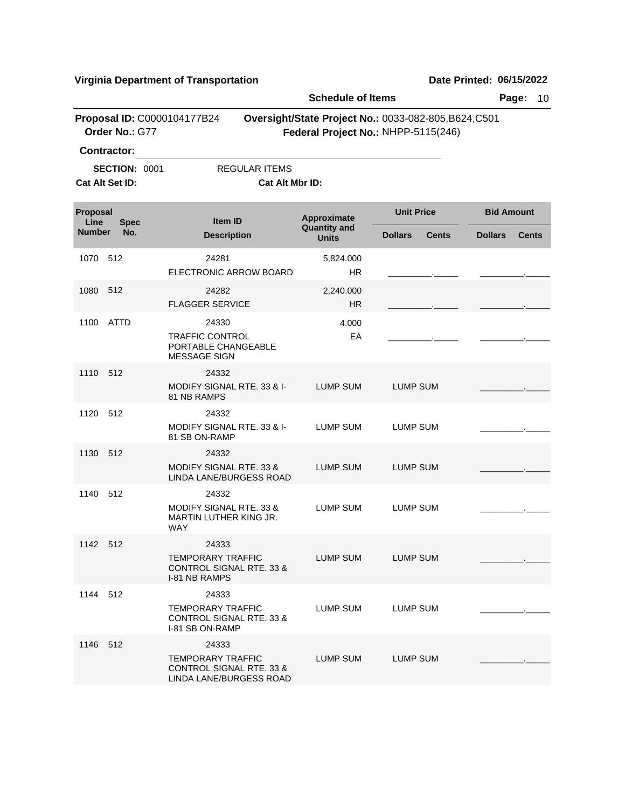|                                 |                      |                                                                                            |                        | <b>Schedule of Items</b>                                                                     |                   |              |                   | Page:<br>10  |
|---------------------------------|----------------------|--------------------------------------------------------------------------------------------|------------------------|----------------------------------------------------------------------------------------------|-------------------|--------------|-------------------|--------------|
|                                 | Order No.: G77       | Proposal ID: C0000104177B24                                                                |                        | Oversight/State Project No.: 0033-082-805, B624, C501<br>Federal Project No.: NHPP-5115(246) |                   |              |                   |              |
|                                 | Contractor:          |                                                                                            |                        |                                                                                              |                   |              |                   |              |
|                                 | <b>SECTION: 0001</b> |                                                                                            | <b>REGULAR ITEMS</b>   |                                                                                              |                   |              |                   |              |
|                                 | Cat Alt Set ID:      |                                                                                            | <b>Cat Alt Mbr ID:</b> |                                                                                              |                   |              |                   |              |
| Proposal<br>Line<br><b>Spec</b> |                      | <b>Item ID</b>                                                                             |                        | Approximate                                                                                  | <b>Unit Price</b> |              | <b>Bid Amount</b> |              |
| <b>Number</b>                   | No.                  | <b>Description</b>                                                                         |                        | <b>Quantity and</b><br><b>Units</b>                                                          | <b>Dollars</b>    | <b>Cents</b> | <b>Dollars</b>    | <b>Cents</b> |
| 1070                            | -512                 | 24281                                                                                      |                        | 5,824.000                                                                                    |                   |              |                   |              |
|                                 |                      | ELECTRONIC ARROW BOARD                                                                     |                        | <b>HR</b>                                                                                    |                   |              |                   |              |
| 1080                            | 512                  | 24282<br><b>FLAGGER SERVICE</b>                                                            |                        | 2,240.000<br>HR.                                                                             |                   |              |                   |              |
|                                 |                      |                                                                                            |                        |                                                                                              |                   |              |                   |              |
| 1100                            | ATTD                 | 24330<br><b>TRAFFIC CONTROL</b>                                                            |                        | 4.000<br>EA                                                                                  |                   |              |                   |              |
|                                 |                      | PORTABLE CHANGEABLE<br><b>MESSAGE SIGN</b>                                                 |                        |                                                                                              |                   |              |                   |              |
| 1110                            | 512                  | 24332                                                                                      |                        |                                                                                              |                   |              |                   |              |
|                                 |                      | MODIFY SIGNAL RTE. 33 & I-<br>81 NB RAMPS                                                  |                        | <b>LUMP SUM</b>                                                                              | <b>LUMP SUM</b>   |              |                   |              |
| 1120                            | 512                  | 24332                                                                                      |                        |                                                                                              |                   |              |                   |              |
|                                 |                      | MODIFY SIGNAL RTE. 33 & I-<br>81 SB ON-RAMP                                                |                        | LUMP SUM                                                                                     | LUMP SUM          |              |                   |              |
| 1130                            | 512                  | 24332                                                                                      |                        |                                                                                              |                   |              |                   |              |
|                                 |                      | <b>MODIFY SIGNAL RTE. 33 &amp;</b><br>LINDA LANE/BURGESS ROAD                              |                        | <b>LUMP SUM</b>                                                                              | <b>LUMP SUM</b>   |              |                   |              |
| 1140                            | 512                  | 24332                                                                                      |                        |                                                                                              |                   |              |                   |              |
|                                 |                      | <b>MODIFY SIGNAL RTE, 33 &amp;</b><br>MARTIN LUTHER KING JR.                               |                        | LUMP SUM                                                                                     | LUMP SUM          |              |                   |              |
|                                 |                      | <b>WAY</b>                                                                                 |                        |                                                                                              |                   |              |                   |              |
| 1142 512                        |                      | 24333<br><b>TEMPORARY TRAFFIC</b>                                                          |                        | <b>LUMP SUM</b>                                                                              | <b>LUMP SUM</b>   |              |                   |              |
|                                 |                      | <b>CONTROL SIGNAL RTE. 33 &amp;</b><br><b>I-81 NB RAMPS</b>                                |                        |                                                                                              |                   |              |                   |              |
| 1144 512                        |                      | 24333                                                                                      |                        |                                                                                              |                   |              |                   |              |
|                                 |                      | <b>TEMPORARY TRAFFIC</b><br><b>CONTROL SIGNAL RTE, 33 &amp;</b><br>I-81 SB ON-RAMP         |                        | LUMP SUM                                                                                     | LUMP SUM          |              |                   |              |
| 1146 512                        |                      | 24333                                                                                      |                        |                                                                                              |                   |              |                   |              |
|                                 |                      | <b>TEMPORARY TRAFFIC</b><br><b>CONTROL SIGNAL RTE, 33 &amp;</b><br>LINDA LANE/BURGESS ROAD |                        | LUMP SUM                                                                                     | <b>LUMP SUM</b>   |              |                   |              |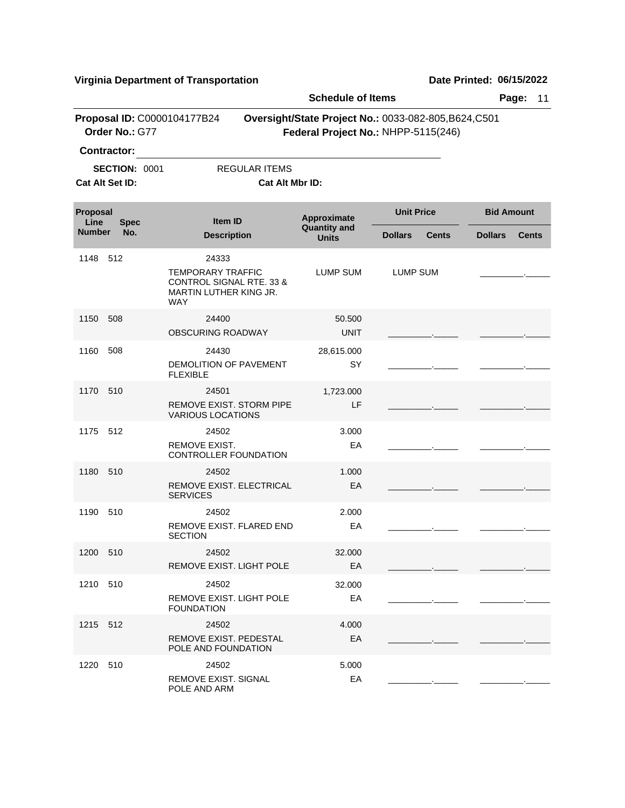|                  |                      |                                                                                                                  | <b>Schedule of Items</b>           |                                                                                              | Page:<br>11                    |
|------------------|----------------------|------------------------------------------------------------------------------------------------------------------|------------------------------------|----------------------------------------------------------------------------------------------|--------------------------------|
|                  | Order No.: G77       | Proposal ID: C0000104177B24                                                                                      |                                    | Oversight/State Project No.: 0033-082-805, B624, C501<br>Federal Project No.: NHPP-5115(246) |                                |
|                  | <b>Contractor:</b>   |                                                                                                                  |                                    |                                                                                              |                                |
|                  | <b>SECTION: 0001</b> | <b>REGULAR ITEMS</b>                                                                                             |                                    |                                                                                              |                                |
|                  | Cat Alt Set ID:      | Cat Alt Mbr ID:                                                                                                  |                                    |                                                                                              |                                |
| Proposal<br>Line | <b>Spec</b>          | <b>Item ID</b>                                                                                                   | Approximate<br><b>Quantity and</b> | <b>Unit Price</b>                                                                            | <b>Bid Amount</b>              |
| <b>Number</b>    | No.                  | <b>Description</b>                                                                                               | <b>Units</b>                       | <b>Dollars</b><br><b>Cents</b>                                                               | <b>Dollars</b><br><b>Cents</b> |
| 1148             | 512                  | 24333<br><b>TEMPORARY TRAFFIC</b><br><b>CONTROL SIGNAL RTE. 33 &amp;</b><br>MARTIN LUTHER KING JR.<br><b>WAY</b> | <b>LUMP SUM</b>                    | <b>LUMP SUM</b>                                                                              |                                |
| 1150             | 508                  | 24400<br><b>OBSCURING ROADWAY</b>                                                                                | 50.500<br><b>UNIT</b>              |                                                                                              |                                |
| 1160             | 508                  | 24430<br><b>DEMOLITION OF PAVEMENT</b><br><b>FLEXIBLE</b>                                                        | 28,615.000<br>SY                   |                                                                                              |                                |
| 1170             | 510                  | 24501<br>REMOVE EXIST. STORM PIPE<br><b>VARIOUS LOCATIONS</b>                                                    | 1,723.000<br>LF                    |                                                                                              |                                |
| 1175             | 512                  | 24502<br>REMOVE EXIST.<br>CONTROLLER FOUNDATION                                                                  | 3.000<br>EA                        |                                                                                              |                                |
| 1180             | 510                  | 24502<br>REMOVE EXIST. ELECTRICAL<br><b>SERVICES</b>                                                             | 1.000<br>EA                        |                                                                                              |                                |
| 1190             | 510                  | 24502<br>REMOVE EXIST. FLARED END<br><b>SECTION</b>                                                              | 2.000<br>EA                        |                                                                                              |                                |
| 1200 510         |                      | 24502<br>REMOVE EXIST. LIGHT POLE                                                                                | 32.000<br>EA                       |                                                                                              |                                |
| 1210 510         |                      | 24502<br>REMOVE EXIST. LIGHT POLE<br><b>FOUNDATION</b>                                                           | 32.000<br>EA                       |                                                                                              |                                |
| 1215 512         |                      | 24502<br>REMOVE EXIST. PEDESTAL<br>POLE AND FOUNDATION                                                           | 4.000<br>EA                        |                                                                                              |                                |
| 1220 510         |                      | 24502<br><b>REMOVE EXIST, SIGNAL</b><br>POLE AND ARM                                                             | 5.000<br>EA                        |                                                                                              |                                |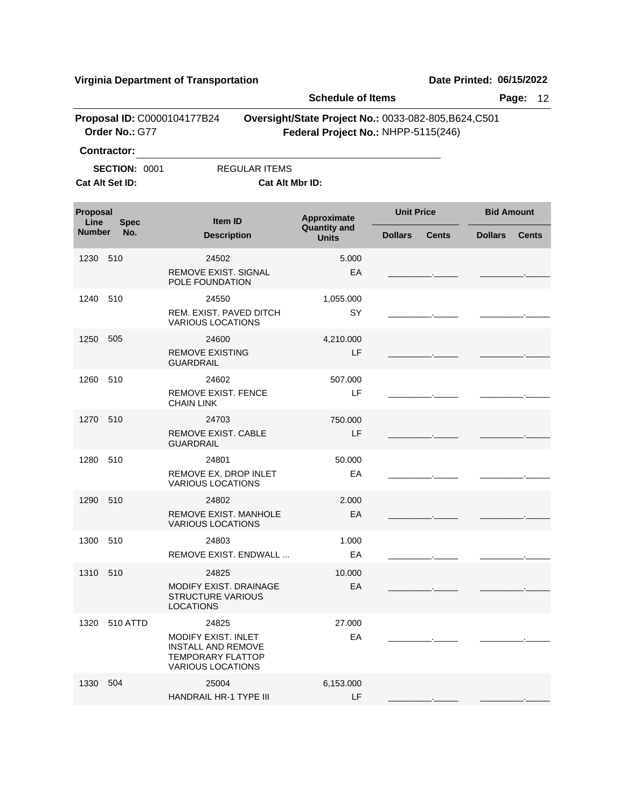|                  |                                               | rii girna Dopartmont or Transportation                                                                     |                                     |                                                                                              |                                |
|------------------|-----------------------------------------------|------------------------------------------------------------------------------------------------------------|-------------------------------------|----------------------------------------------------------------------------------------------|--------------------------------|
|                  |                                               |                                                                                                            | <b>Schedule of Items</b>            |                                                                                              | Page:<br>12                    |
|                  | Proposal ID: C0000104177B24<br>Order No.: G77 |                                                                                                            |                                     | Oversight/State Project No.: 0033-082-805, B624, C501<br>Federal Project No.: NHPP-5115(246) |                                |
|                  | <b>Contractor:</b>                            |                                                                                                            |                                     |                                                                                              |                                |
|                  | <b>SECTION: 0001</b><br>Cat Alt Set ID:       | <b>REGULAR ITEMS</b><br>Cat Alt Mbr ID:                                                                    |                                     |                                                                                              |                                |
| Proposal<br>Line | <b>Spec</b>                                   | <b>Item ID</b>                                                                                             | Approximate                         | <b>Unit Price</b>                                                                            | <b>Bid Amount</b>              |
| <b>Number</b>    | No.                                           | <b>Description</b>                                                                                         | <b>Quantity and</b><br><b>Units</b> | <b>Dollars</b><br><b>Cents</b>                                                               | <b>Dollars</b><br><b>Cents</b> |
| 1230             | 510                                           | 24502<br>REMOVE EXIST, SIGNAL                                                                              | 5.000<br>EA                         |                                                                                              |                                |
| 1240             | 510                                           | POLE FOUNDATION<br>24550<br>REM. EXIST. PAVED DITCH<br><b>VARIOUS LOCATIONS</b>                            | 1,055.000<br>SY                     |                                                                                              |                                |
| 1250             | 505                                           | 24600<br><b>REMOVE EXISTING</b><br><b>GUARDRAIL</b>                                                        | 4,210.000<br>LF                     |                                                                                              |                                |
| 1260             | 510                                           | 24602<br><b>REMOVE EXIST, FENCE</b><br><b>CHAIN LINK</b>                                                   | 507.000<br>LF                       |                                                                                              |                                |
| 1270             | 510                                           | 24703<br>REMOVE EXIST. CABLE<br><b>GUARDRAIL</b>                                                           | 750.000<br>LF                       |                                                                                              |                                |
| 1280             | 510                                           | 24801<br>REMOVE EX. DROP INLET<br><b>VARIOUS LOCATIONS</b>                                                 | 50.000<br>EA                        |                                                                                              |                                |
| 1290             | 510                                           | 24802<br><b>REMOVE EXIST. MANHOLE</b><br><b>VARIOUS LOCATIONS</b>                                          | 2.000<br>EA                         |                                                                                              |                                |
| 1300 510         |                                               | 24803<br>REMOVE EXIST. ENDWALL                                                                             | 1.000<br>EA                         |                                                                                              |                                |
| 1310 510         |                                               | 24825<br>MODIFY EXIST, DRAINAGE<br><b>STRUCTURE VARIOUS</b><br><b>LOCATIONS</b>                            | 10.000<br>EA                        |                                                                                              |                                |
| 1320             | <b>510 ATTD</b>                               | 24825<br>MODIFY EXIST. INLET<br>INSTALL AND REMOVE<br><b>TEMPORARY FLATTOP</b><br><b>VARIOUS LOCATIONS</b> | 27.000<br>EA                        |                                                                                              |                                |
| 1330             | 504                                           | 25004<br>HANDRAIL HR-1 TYPE III                                                                            | 6,153.000<br>LF                     |                                                                                              |                                |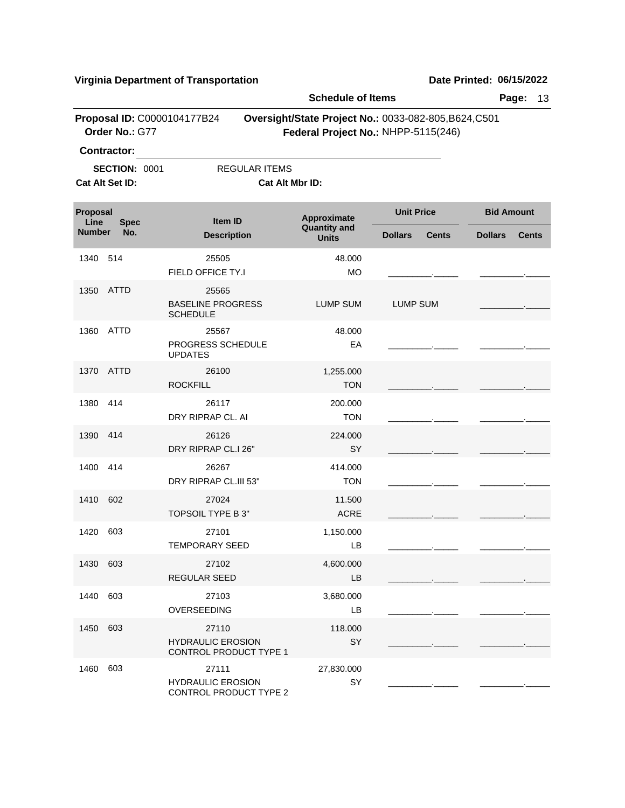|                                        |                                                               |                                                             |                                         | <b>Schedule of Items</b>                                                                     |                   |              |                   | 13<br>Page:  |
|----------------------------------------|---------------------------------------------------------------|-------------------------------------------------------------|-----------------------------------------|----------------------------------------------------------------------------------------------|-------------------|--------------|-------------------|--------------|
|                                        | Order No.: G77                                                | Proposal ID: C0000104177B24                                 |                                         | Oversight/State Project No.: 0033-082-805, B624, C501<br>Federal Project No.: NHPP-5115(246) |                   |              |                   |              |
|                                        | <b>Contractor:</b><br><b>SECTION: 0001</b><br>Cat Alt Set ID: |                                                             | <b>REGULAR ITEMS</b><br>Cat Alt Mbr ID: |                                                                                              |                   |              |                   |              |
| <b>Proposal</b><br>Line<br><b>Spec</b> |                                                               |                                                             | Approximate<br>Item ID                  |                                                                                              | <b>Unit Price</b> |              | <b>Bid Amount</b> |              |
| <b>Number</b>                          | No.                                                           | <b>Description</b>                                          |                                         | <b>Quantity and</b><br><b>Units</b>                                                          | <b>Dollars</b>    | <b>Cents</b> | <b>Dollars</b>    | <b>Cents</b> |
| 1340                                   | 514                                                           | 25505<br>FIELD OFFICE TY.I                                  |                                         | 48.000<br><b>MO</b>                                                                          |                   |              |                   |              |
| 1350                                   | <b>ATTD</b>                                                   | 25565<br><b>BASELINE PROGRESS</b><br><b>SCHEDULE</b>        |                                         | LUMP SUM                                                                                     | <b>LUMP SUM</b>   |              |                   |              |
| 1360                                   | <b>ATTD</b>                                                   | 25567<br>PROGRESS SCHEDULE<br><b>UPDATES</b>                |                                         | 48.000<br>EA                                                                                 |                   |              |                   |              |
| 1370                                   | ATTD                                                          | 26100<br><b>ROCKFILL</b>                                    |                                         | 1,255.000<br><b>TON</b>                                                                      |                   |              |                   |              |
| 1380                                   | 414                                                           | 26117<br>DRY RIPRAP CL. AI                                  |                                         | 200.000<br><b>TON</b>                                                                        |                   |              |                   |              |
| 1390                                   | 414                                                           | 26126<br>DRY RIPRAP CL.I 26"                                |                                         | 224.000<br>SY                                                                                |                   |              |                   |              |
| 1400                                   | 414                                                           | 26267<br>DRY RIPRAP CL.III 53"                              |                                         | 414.000<br><b>TON</b>                                                                        |                   |              |                   |              |
| 1410                                   | 602                                                           | 27024<br>TOPSOIL TYPE B 3"                                  |                                         | 11.500<br><b>ACRE</b>                                                                        |                   |              |                   |              |
| 1420                                   | 603                                                           | 27101<br><b>TEMPORARY SEED</b>                              |                                         | 1,150.000<br>LB                                                                              |                   |              |                   |              |
| 1430                                   | 603                                                           | 27102<br><b>REGULAR SEED</b>                                |                                         | 4,600.000<br>LB                                                                              |                   |              |                   |              |
| 1440                                   | 603                                                           | 27103<br>OVERSEEDING                                        |                                         | 3,680.000<br>LB                                                                              |                   |              |                   |              |
| 1450                                   | 603                                                           | 27110<br><b>HYDRAULIC EROSION</b><br>CONTROL PRODUCT TYPE 1 |                                         | 118.000<br>SY                                                                                |                   |              |                   |              |
| 1460                                   | 603                                                           | 27111<br><b>HYDRAULIC EROSION</b><br>CONTROL PRODUCT TYPE 2 |                                         | 27,830.000<br>SY                                                                             |                   |              |                   |              |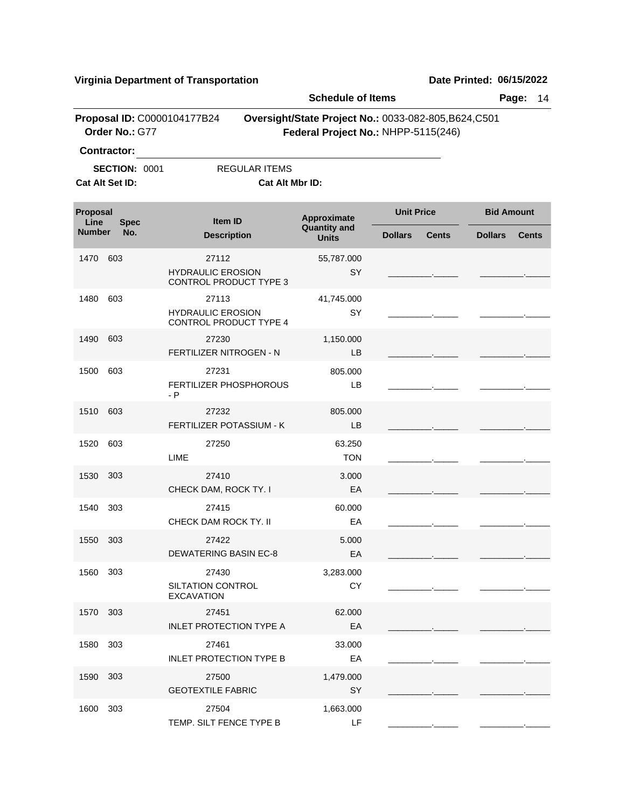\_\_\_\_\_\_\_\_\_.\_\_\_\_\_ \_\_\_\_\_\_\_\_\_.\_\_\_\_\_

|                    |                      | riiginia Department or Transportation                              | <b>Schedule of Items</b>                                                                     |                   |              | <b>שמוכ רוווווכט. ט<i>טו ו</i>אכ<i>ט</i>בב</b> | Page:<br>14  |
|--------------------|----------------------|--------------------------------------------------------------------|----------------------------------------------------------------------------------------------|-------------------|--------------|------------------------------------------------|--------------|
|                    | Order No.: G77       | Proposal ID: C0000104177B24                                        | Oversight/State Project No.: 0033-082-805, B624, C501<br>Federal Project No.: NHPP-5115(246) |                   |              |                                                |              |
| <b>Contractor:</b> |                      |                                                                    |                                                                                              |                   |              |                                                |              |
| Cat Alt Set ID:    | <b>SECTION: 0001</b> | <b>REGULAR ITEMS</b>                                               | Cat Alt Mbr ID:                                                                              |                   |              |                                                |              |
| Proposal<br>Line   | <b>Spec</b>          | Item ID                                                            | Approximate                                                                                  | <b>Unit Price</b> |              | <b>Bid Amount</b>                              |              |
| <b>Number</b>      | No.                  | <b>Description</b>                                                 | <b>Quantity and</b><br><b>Units</b>                                                          | <b>Dollars</b>    | <b>Cents</b> | <b>Dollars</b>                                 | <b>Cents</b> |
| 1470               | 603                  | 27112<br><b>HYDRAULIC EROSION</b><br><b>CONTROL PRODUCT TYPE 3</b> | 55,787.000<br>SY                                                                             |                   |              |                                                |              |
| 1480               | 603                  | 27113<br><b>HYDRAULIC EROSION</b><br>CONTROL PRODUCT TYPE 4        | 41,745.000<br><b>SY</b>                                                                      |                   |              |                                                |              |
| 1490               | 603                  | 27230<br>FERTILIZER NITROGEN - N                                   | 1,150.000<br>LB                                                                              |                   |              |                                                |              |
| 1500               | 603                  | 27231<br>FERTILIZER PHOSPHOROUS<br>$- P$                           | 805.000<br>LB                                                                                |                   |              |                                                |              |
| 1510               | 603                  | 27232<br>FERTILIZER POTASSIUM - K                                  | 805.000<br>LB                                                                                |                   |              |                                                |              |
| 1520               | 603                  | 27250<br>LIME                                                      | 63.250<br><b>TON</b>                                                                         |                   |              |                                                |              |
| 1530               | 303                  | 27410<br>CHECK DAM, ROCK TY. I                                     | 3.000<br>EA                                                                                  |                   |              |                                                |              |
| 1540               | 303                  | 27415<br>CHECK DAM ROCK TY. II                                     | 60.000<br>EA                                                                                 |                   |              |                                                |              |
| 1550 303           |                      | 27422<br>DEWATERING BASIN EC-8                                     | 5.000<br>EA                                                                                  |                   |              |                                                |              |
| 1560 303           |                      | 27430<br>SILTATION CONTROL<br><b>EXCAVATION</b>                    | 3,283.000<br>CY                                                                              |                   |              |                                                |              |
| 1570 303           |                      | 27451<br><b>INLET PROTECTION TYPE A</b>                            | 62.000<br>EA                                                                                 |                   |              |                                                |              |
| 1580               | 303                  | 27461<br><b>INLET PROTECTION TYPE B</b>                            | 33.000<br>EA                                                                                 |                   |              |                                                |              |
| 1590 303           |                      | 27500<br><b>GEOTEXTILE FABRIC</b>                                  | 1,479.000<br>SY                                                                              |                   |              |                                                |              |
| 1600               | 303                  | 27504                                                              | 1,663.000                                                                                    |                   |              |                                                |              |

TEMP. SILT FENCE TYPE B LF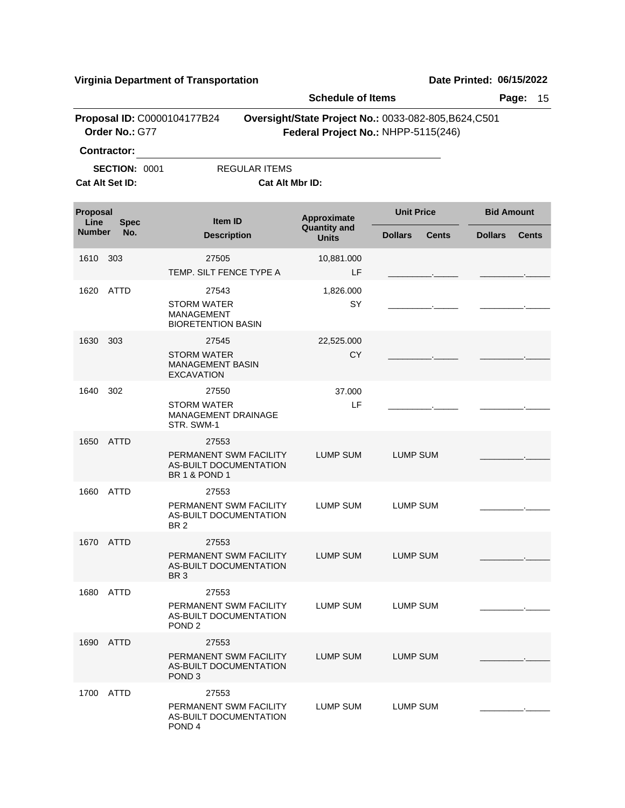|                         |                                         |                                                                                       | <b>Schedule of Items</b>            |                                                                                              | Page:<br>15                    |
|-------------------------|-----------------------------------------|---------------------------------------------------------------------------------------|-------------------------------------|----------------------------------------------------------------------------------------------|--------------------------------|
|                         | Order No.: G77<br><b>Contractor:</b>    | Proposal ID: C0000104177B24                                                           |                                     | Oversight/State Project No.: 0033-082-805, B624, C501<br>Federal Project No.: NHPP-5115(246) |                                |
|                         | <b>SECTION: 0001</b><br>Cat Alt Set ID: | <b>REGULAR ITEMS</b><br><b>Cat Alt Mbr ID:</b>                                        |                                     |                                                                                              |                                |
| <b>Proposal</b><br>Line | <b>Spec</b>                             | <b>Item ID</b>                                                                        | Approximate                         | <b>Unit Price</b>                                                                            | <b>Bid Amount</b>              |
| <b>Number</b>           | No.                                     | <b>Description</b>                                                                    | <b>Quantity and</b><br><b>Units</b> | <b>Dollars</b><br><b>Cents</b>                                                               | <b>Dollars</b><br><b>Cents</b> |
| 1610                    | 303                                     | 27505<br>TEMP. SILT FENCE TYPE A                                                      | 10,881.000<br>LF                    |                                                                                              |                                |
| 1620                    | <b>ATTD</b>                             | 27543<br><b>STORM WATER</b><br><b>MANAGEMENT</b><br><b>BIORETENTION BASIN</b>         | 1,826.000<br>SY                     |                                                                                              |                                |
| 1630                    | 303                                     | 27545<br><b>STORM WATER</b><br><b>MANAGEMENT BASIN</b><br>EXCAVATION                  | 22,525.000<br>CY                    |                                                                                              |                                |
| 1640                    | 302                                     | 27550<br><b>STORM WATER</b><br>MANAGEMENT DRAINAGE<br>STR. SWM-1                      | 37.000<br>LF                        |                                                                                              |                                |
| 1650                    | <b>ATTD</b>                             | 27553<br>PERMANENT SWM FACILITY<br>AS-BUILT DOCUMENTATION<br><b>BR 1 &amp; POND 1</b> | <b>LUMP SUM</b>                     | <b>LUMP SUM</b>                                                                              |                                |
| 1660                    | ATTD                                    | 27553<br>PERMANENT SWM FACILITY<br><b>AS-BUILT DOCUMENTATION</b><br>BR <sub>2</sub>   | LUMP SUM                            | <b>LUMP SUM</b>                                                                              |                                |
| 1670                    | ATTD                                    | 27553<br>PERMANENT SWM FACILITY<br>AS-BUILT DOCUMENTATION<br>BR <sub>3</sub>          | <b>LUMP SUM</b>                     | <b>LUMP SUM</b>                                                                              |                                |
|                         | 1680 ATTD                               | 27553<br>PERMANENT SWM FACILITY<br><b>AS-BUILT DOCUMENTATION</b><br>POND <sub>2</sub> | LUMP SUM                            | LUMP SUM                                                                                     |                                |
|                         | 1690 ATTD                               | 27553<br>PERMANENT SWM FACILITY<br>AS-BUILT DOCUMENTATION<br>POND <sub>3</sub>        | <b>LUMP SUM</b>                     | <b>LUMP SUM</b>                                                                              |                                |
| 1700                    | ATTD                                    | 27553<br>PERMANENT SWM FACILITY<br>AS-BUILT DOCUMENTATION<br>POND <sub>4</sub>        | LUMP SUM                            | LUMP SUM                                                                                     |                                |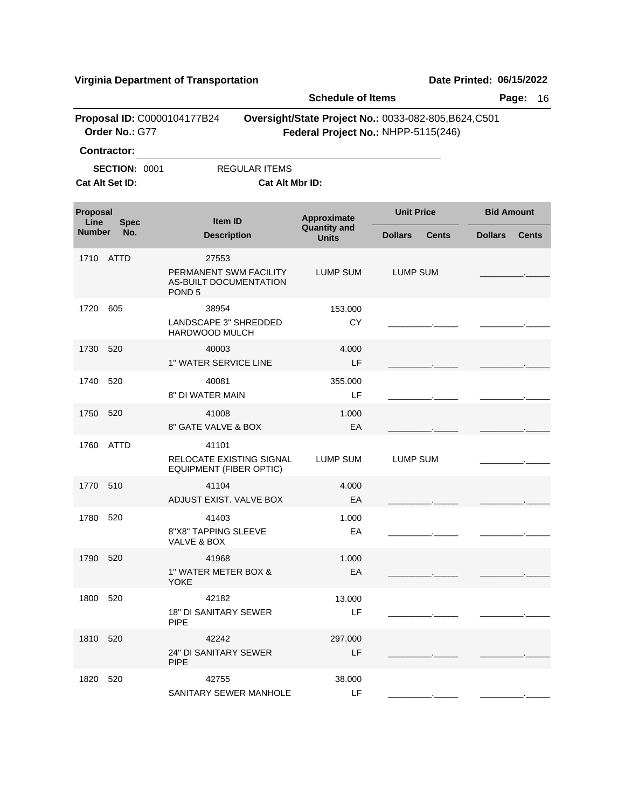|                  |                                               |                                                                                | <b>Schedule of Items</b>           |                                                                                              | Page:<br>16                    |
|------------------|-----------------------------------------------|--------------------------------------------------------------------------------|------------------------------------|----------------------------------------------------------------------------------------------|--------------------------------|
|                  | Proposal ID: C0000104177B24<br>Order No.: G77 |                                                                                |                                    | Oversight/State Project No.: 0033-082-805, B624, C501<br>Federal Project No.: NHPP-5115(246) |                                |
|                  | <b>Contractor:</b>                            |                                                                                |                                    |                                                                                              |                                |
|                  | <b>SECTION: 0001</b>                          | <b>REGULAR ITEMS</b>                                                           |                                    |                                                                                              |                                |
|                  | Cat Alt Set ID:                               | Cat Alt Mbr ID:                                                                |                                    |                                                                                              |                                |
| Proposal<br>Line | <b>Spec</b>                                   | Item ID                                                                        | Approximate<br><b>Quantity and</b> | <b>Unit Price</b>                                                                            | <b>Bid Amount</b>              |
| <b>Number</b>    | No.                                           | <b>Description</b>                                                             | <b>Units</b>                       | <b>Dollars</b><br><b>Cents</b>                                                               | <b>Dollars</b><br><b>Cents</b> |
|                  | 1710 ATTD                                     | 27553<br>PERMANENT SWM FACILITY<br>AS-BUILT DOCUMENTATION<br>POND <sub>5</sub> | LUMP SUM                           | <b>LUMP SUM</b>                                                                              |                                |
| 1720             | 605                                           | 38954<br>LANDSCAPE 3" SHREDDED<br>HARDWOOD MULCH                               | 153.000<br>CY                      |                                                                                              |                                |
| 1730             | 520                                           | 40003<br><b>1" WATER SERVICE LINE</b>                                          | 4.000<br>LF.                       |                                                                                              |                                |
| 1740             | 520                                           | 40081<br>8" DI WATER MAIN                                                      | 355.000<br>LF                      |                                                                                              |                                |
| 1750             | 520                                           | 41008<br>8" GATE VALVE & BOX                                                   | 1.000<br>EA                        |                                                                                              |                                |
| 1760             | <b>ATTD</b>                                   | 41101<br><b>RELOCATE EXISTING SIGNAL</b><br><b>EQUIPMENT (FIBER OPTIC)</b>     | <b>LUMP SUM</b>                    | <b>LUMP SUM</b>                                                                              |                                |
| 1770             | 510                                           | 41104<br>ADJUST EXIST. VALVE BOX                                               | 4.000<br>EA                        |                                                                                              |                                |
| 1780             | 520                                           | 41403<br>8"X8" TAPPING SLEEVE<br>VALVE & BOX                                   | 1.000<br>EA                        |                                                                                              |                                |
| 1790 520         |                                               | 41968<br>1" WATER METER BOX &<br><b>YOKE</b>                                   | 1.000<br>EA                        |                                                                                              |                                |
| 1800 520         |                                               | 42182<br>18" DI SANITARY SEWER<br><b>PIPE</b>                                  | 13.000<br>LF                       |                                                                                              |                                |
| 1810 520         |                                               | 42242<br>24" DI SANITARY SEWER<br><b>PIPE</b>                                  | 297.000<br>LF                      |                                                                                              |                                |
| 1820             | 520                                           | 42755<br>SANITARY SEWER MANHOLE                                                | 38.000<br>LF                       |                                                                                              |                                |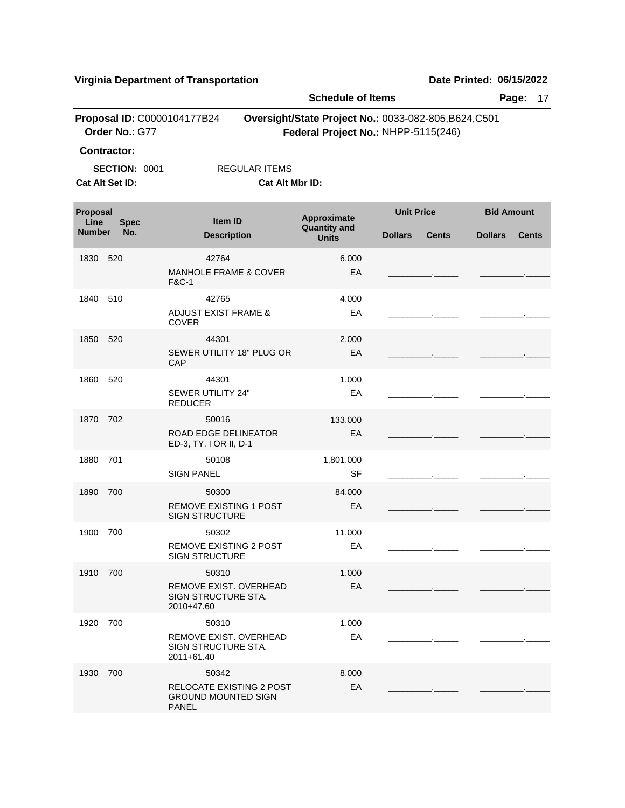|                  |                                         |                                                                          | <b>Schedule of Items</b>                                                                     |                            | Page:<br>17                                    |
|------------------|-----------------------------------------|--------------------------------------------------------------------------|----------------------------------------------------------------------------------------------|----------------------------|------------------------------------------------|
|                  | Order No.: G77<br><b>Contractor:</b>    | Proposal ID: C0000104177B24                                              | Oversight/State Project No.: 0033-082-805, B624, C501<br>Federal Project No.: NHPP-5115(246) |                            |                                                |
|                  | <b>SECTION: 0001</b><br>Cat Alt Set ID: | <b>REGULAR ITEMS</b>                                                     | Cat Alt Mbr ID:                                                                              |                            |                                                |
| Proposal<br>Line | <b>Spec</b>                             | <b>Item ID</b>                                                           | Approximate                                                                                  | <b>Unit Price</b>          | <b>Bid Amount</b>                              |
| Number           | No.                                     | <b>Description</b>                                                       | <b>Quantity and</b><br><b>Units</b>                                                          | <b>Dollars</b>             | <b>Cents</b><br><b>Dollars</b><br><b>Cents</b> |
| 1830             | 520                                     | 42764<br><b>MANHOLE FRAME &amp; COVER</b><br><b>F&amp;C-1</b>            | 6.000<br>EA                                                                                  | <b>Contract</b>            |                                                |
| 1840             | 510                                     | 42765<br><b>ADJUST EXIST FRAME &amp;</b><br><b>COVER</b>                 | 4.000<br>EA                                                                                  | <u> 1989 - Alban Store</u> |                                                |
| 1850             | 520                                     | 44301<br>SEWER UTILITY 18" PLUG OR<br>CAP                                | 2.000<br>EA                                                                                  |                            |                                                |
| 1860             | 520                                     | 44301<br>SEWER UTILITY 24"<br><b>REDUCER</b>                             | 1.000<br>EA                                                                                  |                            |                                                |
| 1870             | 702                                     | 50016<br>ROAD EDGE DELINEATOR<br>ED-3, TY. I OR II, D-1                  | 133.000<br>EA                                                                                |                            |                                                |
| 1880             | 701                                     | 50108<br><b>SIGN PANEL</b>                                               | 1,801.000<br><b>SF</b>                                                                       | <b>Contract Contract</b>   |                                                |
| 1890             | 700                                     | 50300<br>REMOVE EXISTING 1 POST<br><b>SIGN STRUCTURE</b>                 | 84.000<br>EA                                                                                 |                            |                                                |
| 1900             | 700                                     | 50302<br><b>REMOVE EXISTING 2 POST</b><br><b>SIGN STRUCTURE</b>          | 11.000<br>EA                                                                                 |                            |                                                |
| 1910 700         |                                         | 50310<br>REMOVE EXIST. OVERHEAD<br>SIGN STRUCTURE STA.<br>2010+47.60     | 1.000<br>EA                                                                                  |                            |                                                |
| 1920             | 700                                     | 50310<br>REMOVE EXIST. OVERHEAD<br>SIGN STRUCTURE STA.<br>2011+61.40     | 1.000<br>EA                                                                                  |                            |                                                |
| 1930             | 700                                     | 50342<br>RELOCATE EXISTING 2 POST<br><b>GROUND MOUNTED SIGN</b><br>PANEL | 8.000<br>EA                                                                                  |                            |                                                |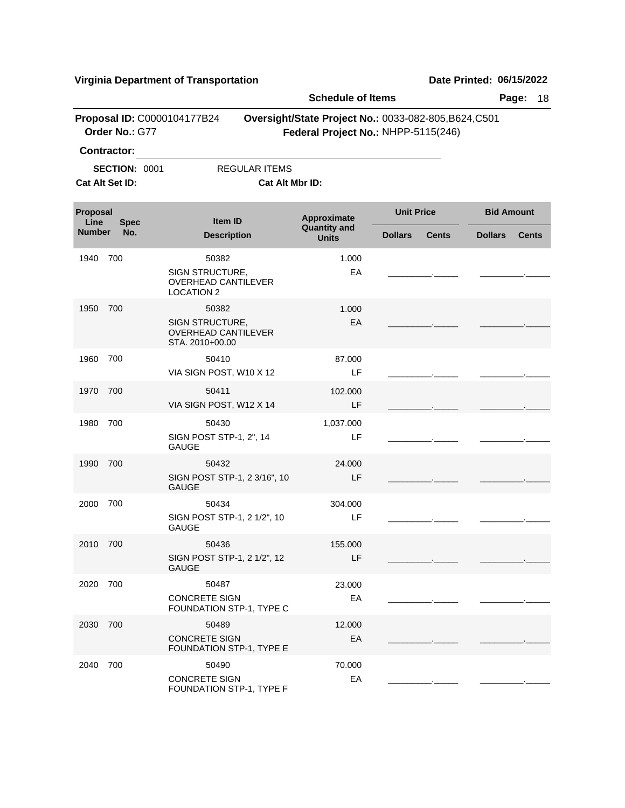|                  |                      |                                                                                                | <b>Schedule of Items</b>                                                                     |                   |              |                   | Page:<br>18  |
|------------------|----------------------|------------------------------------------------------------------------------------------------|----------------------------------------------------------------------------------------------|-------------------|--------------|-------------------|--------------|
|                  | Order No.: G77       | Proposal ID: C0000104177B24                                                                    | Oversight/State Project No.: 0033-082-805, B624, C501<br>Federal Project No.: NHPP-5115(246) |                   |              |                   |              |
|                  | <b>Contractor:</b>   |                                                                                                |                                                                                              |                   |              |                   |              |
|                  | <b>SECTION: 0001</b> | <b>REGULAR ITEMS</b>                                                                           |                                                                                              |                   |              |                   |              |
|                  | Cat Alt Set ID:      | Cat Alt Mbr ID:                                                                                |                                                                                              |                   |              |                   |              |
| Proposal<br>Line | <b>Spec</b>          | <b>Item ID</b>                                                                                 | Approximate                                                                                  | <b>Unit Price</b> |              | <b>Bid Amount</b> |              |
| <b>Number</b>    | No.                  | <b>Description</b>                                                                             | <b>Quantity and</b><br><b>Units</b>                                                          | <b>Dollars</b>    | <b>Cents</b> | <b>Dollars</b>    | <b>Cents</b> |
| 1940             | 700                  | 50382<br>SIGN STRUCTURE,<br><b>OVERHEAD CANTILEVER</b>                                         | 1.000<br>EA                                                                                  |                   |              |                   |              |
| 1950             | 700                  | <b>LOCATION 2</b><br>50382<br>SIGN STRUCTURE,<br><b>OVERHEAD CANTILEVER</b><br>STA. 2010+00.00 | 1.000<br>EA                                                                                  |                   |              |                   |              |
| 1960             | 700                  | 50410<br>VIA SIGN POST, W10 X 12                                                               | 87.000<br>LF                                                                                 |                   |              |                   |              |
| 1970             | 700                  | 50411<br>VIA SIGN POST, W12 X 14                                                               | 102,000<br>LF                                                                                |                   |              |                   |              |
| 1980             | 700                  | 50430<br>SIGN POST STP-1, 2", 14<br><b>GAUGE</b>                                               | 1,037.000<br>LF                                                                              |                   |              |                   |              |
| 1990             | 700                  | 50432<br>SIGN POST STP-1, 2 3/16", 10<br><b>GAUGE</b>                                          | 24.000<br>LF                                                                                 |                   |              |                   |              |
| 2000             | 700                  | 50434<br>SIGN POST STP-1, 2 1/2", 10<br><b>GAUGE</b>                                           | 304.000<br>LF                                                                                |                   |              |                   |              |
| 2010             | 700                  | 50436<br>SIGN POST STP-1, 2 1/2", 12<br><b>GAUGE</b>                                           | 155.000<br>LF.                                                                               |                   |              |                   |              |
| 2020             | 700                  | 50487<br><b>CONCRETE SIGN</b><br>FOUNDATION STP-1, TYPE C                                      | 23.000<br>EA                                                                                 |                   |              |                   |              |
| 2030             | 700                  | 50489<br><b>CONCRETE SIGN</b><br>FOUNDATION STP-1, TYPE E                                      | 12.000<br>EA                                                                                 |                   |              |                   |              |
| 2040             | 700                  | 50490<br><b>CONCRETE SIGN</b><br>FOUNDATION STP-1, TYPE F                                      | 70.000<br>EA                                                                                 |                   |              |                   |              |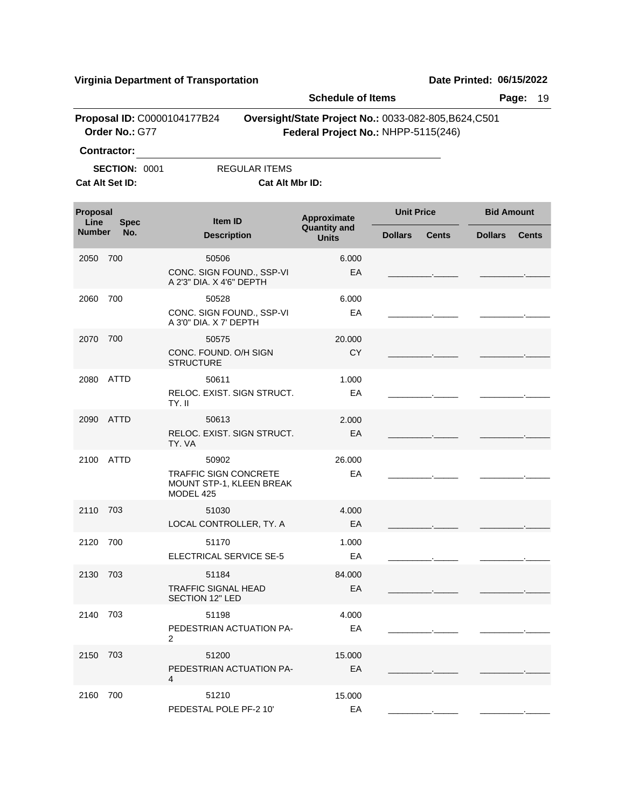|                  |                                                               |                                                                                | <b>Schedule of Items</b>            |                                                                                              | Page:<br>19                    |
|------------------|---------------------------------------------------------------|--------------------------------------------------------------------------------|-------------------------------------|----------------------------------------------------------------------------------------------|--------------------------------|
|                  | Proposal ID: C0000104177B24<br>Order No.: G77                 |                                                                                |                                     | Oversight/State Project No.: 0033-082-805, B624, C501<br>Federal Project No.: NHPP-5115(246) |                                |
|                  | <b>Contractor:</b><br><b>SECTION: 0001</b><br>Cat Alt Set ID: | <b>REGULAR ITEMS</b><br>Cat Alt Mbr ID:                                        |                                     |                                                                                              |                                |
|                  |                                                               |                                                                                |                                     |                                                                                              |                                |
| Proposal<br>Line | <b>Spec</b>                                                   | Item ID                                                                        | Approximate                         | <b>Unit Price</b>                                                                            | <b>Bid Amount</b>              |
| <b>Number</b>    | No.                                                           | <b>Description</b>                                                             | <b>Quantity and</b><br><b>Units</b> | <b>Dollars</b><br><b>Cents</b>                                                               | <b>Dollars</b><br><b>Cents</b> |
| 2050             | 700                                                           | 50506<br>CONC. SIGN FOUND., SSP-VI<br>A 2'3" DIA, X 4'6" DEPTH                 | 6.000<br>EA                         |                                                                                              |                                |
| 2060             | 700                                                           | 50528<br>CONC. SIGN FOUND., SSP-VI<br>A 3'0" DIA, X 7' DEPTH                   | 6.000<br>EA                         |                                                                                              |                                |
| 2070             | 700                                                           | 50575<br>CONC. FOUND, O/H SIGN<br><b>STRUCTURE</b>                             | 20.000<br><b>CY</b>                 |                                                                                              |                                |
|                  | 2080 ATTD                                                     | 50611<br>RELOC. EXIST. SIGN STRUCT.<br>TY. II                                  | 1.000<br>EA                         |                                                                                              |                                |
|                  | 2090 ATTD                                                     | 50613<br>RELOC. EXIST. SIGN STRUCT.<br>TY. VA                                  | 2.000<br>EA                         |                                                                                              |                                |
|                  | 2100 ATTD                                                     | 50902<br><b>TRAFFIC SIGN CONCRETE</b><br>MOUNT STP-1, KLEEN BREAK<br>MODEL 425 | 26,000<br>EA                        |                                                                                              |                                |
| 2110             | 703                                                           | 51030<br>LOCAL CONTROLLER, TY. A                                               | 4.000<br>EA                         |                                                                                              |                                |
| 2120 700         |                                                               | 51170<br>ELECTRICAL SERVICE SE-5                                               | 1.000<br>EA                         |                                                                                              |                                |
| 2130 703         |                                                               | 51184<br><b>TRAFFIC SIGNAL HEAD</b><br><b>SECTION 12" LED</b>                  | 84.000<br>EA                        |                                                                                              |                                |
| 2140 703         |                                                               | 51198<br>PEDESTRIAN ACTUATION PA-<br>2                                         | 4.000<br>EA                         |                                                                                              |                                |
| 2150 703         |                                                               | 51200<br>PEDESTRIAN ACTUATION PA-<br>4                                         | 15.000<br>EA                        |                                                                                              |                                |
| 2160 700         |                                                               | 51210<br>PEDESTAL POLE PF-2 10'                                                | 15.000<br>EA                        |                                                                                              |                                |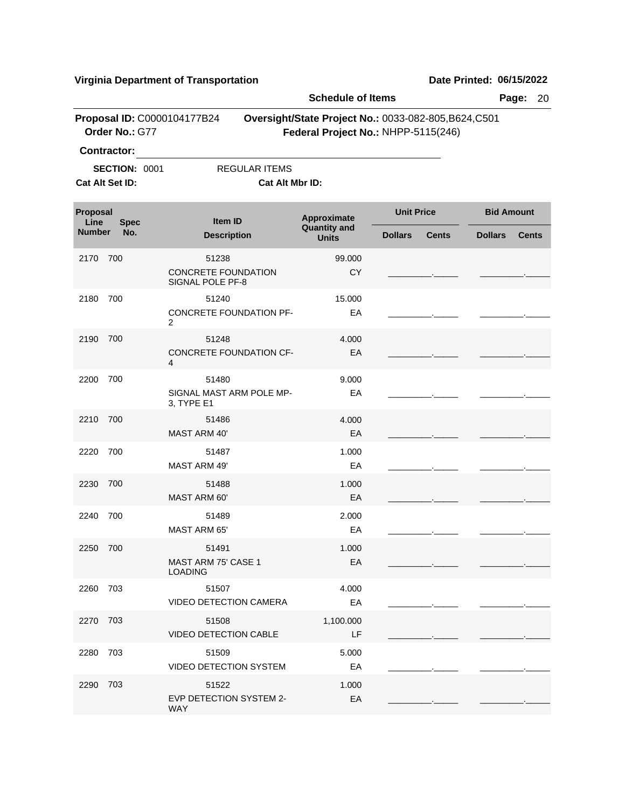|                  |                      |                                         |                      | <b>Schedule of Items</b>                                                                     |                   |              |                   | Page:<br>20  |
|------------------|----------------------|-----------------------------------------|----------------------|----------------------------------------------------------------------------------------------|-------------------|--------------|-------------------|--------------|
|                  | Order No.: G77       | Proposal ID: C0000104177B24             |                      | Oversight/State Project No.: 0033-082-805, B624, C501<br>Federal Project No.: NHPP-5115(246) |                   |              |                   |              |
|                  | <b>Contractor:</b>   |                                         |                      |                                                                                              |                   |              |                   |              |
|                  | <b>SECTION: 0001</b> |                                         | <b>REGULAR ITEMS</b> |                                                                                              |                   |              |                   |              |
|                  | Cat Alt Set ID:      |                                         | Cat Alt Mbr ID:      |                                                                                              |                   |              |                   |              |
| Proposal<br>Line | <b>Spec</b>          | Item ID                                 |                      | Approximate<br><b>Quantity and</b>                                                           | <b>Unit Price</b> |              | <b>Bid Amount</b> |              |
| <b>Number</b>    | No.                  | <b>Description</b>                      |                      | <b>Units</b>                                                                                 | <b>Dollars</b>    | <b>Cents</b> | <b>Dollars</b>    | <b>Cents</b> |
| 2170             | 700                  | 51238                                   |                      | 99.000                                                                                       |                   |              |                   |              |
|                  |                      | CONCRETE FOUNDATION<br>SIGNAL POLE PF-8 |                      | <b>CY</b>                                                                                    |                   |              |                   |              |
| 2180             | 700                  | 51240                                   |                      | 15.000                                                                                       |                   |              |                   |              |
|                  |                      | <b>CONCRETE FOUNDATION PF-</b><br>2     |                      | EA                                                                                           |                   |              |                   |              |
| 2190             | 700                  | 51248                                   |                      | 4.000                                                                                        |                   |              |                   |              |
|                  |                      | <b>CONCRETE FOUNDATION CF-</b><br>4     |                      | EA                                                                                           |                   |              |                   |              |
| 2200             | 700                  | 51480                                   |                      | 9.000                                                                                        |                   |              |                   |              |
|                  |                      | SIGNAL MAST ARM POLE MP-<br>3, TYPE E1  |                      | EA                                                                                           |                   |              |                   |              |
| 2210             | 700                  | 51486                                   |                      | 4.000                                                                                        |                   |              |                   |              |
|                  |                      | <b>MAST ARM 40'</b>                     |                      | EA                                                                                           |                   |              |                   |              |
| 2220             | 700                  | 51487                                   |                      | 1.000                                                                                        |                   |              |                   |              |
|                  |                      | <b>MAST ARM 49'</b>                     |                      | EA                                                                                           |                   |              |                   |              |
| 2230             | 700                  | 51488                                   |                      | 1.000                                                                                        |                   |              |                   |              |
|                  |                      | MAST ARM 60'                            |                      | EA                                                                                           |                   |              |                   |              |
| 2240             | 700                  | 51489                                   |                      | 2.000                                                                                        |                   |              |                   |              |
|                  |                      | <b>MAST ARM 65'</b>                     |                      | EA                                                                                           |                   |              |                   |              |
| 2250 700         |                      | 51491                                   |                      | 1.000                                                                                        |                   |              |                   |              |
|                  |                      | MAST ARM 75' CASE 1<br><b>LOADING</b>   |                      | EA                                                                                           |                   |              |                   |              |
| 2260 703         |                      | 51507                                   |                      | 4.000                                                                                        |                   |              |                   |              |
|                  |                      | <b>VIDEO DETECTION CAMERA</b>           |                      | EA                                                                                           |                   |              |                   |              |
| 2270 703         |                      | 51508                                   |                      | 1,100.000                                                                                    |                   |              |                   |              |
|                  |                      | <b>VIDEO DETECTION CABLE</b>            |                      | LF                                                                                           |                   |              |                   |              |
| 2280 703         |                      | 51509                                   |                      | 5.000                                                                                        |                   |              |                   |              |
|                  |                      | <b>VIDEO DETECTION SYSTEM</b>           |                      | EA                                                                                           |                   |              |                   |              |
| 2290 703         |                      | 51522                                   |                      | 1.000                                                                                        |                   |              |                   |              |
|                  |                      | EVP DETECTION SYSTEM 2-<br>WAY          |                      | EA                                                                                           |                   |              |                   |              |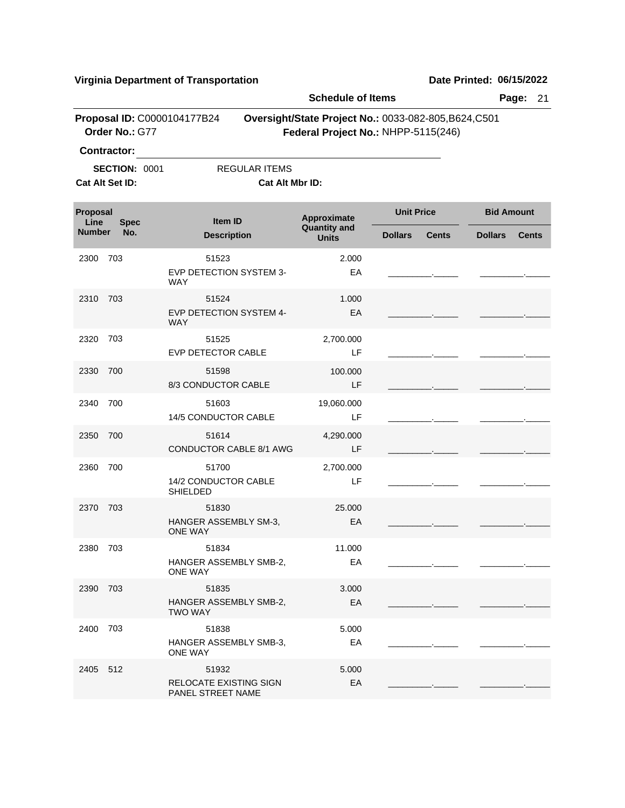|                                 |                                               |                                                      | <b>Schedule of Items</b>           |                                                                                              | Page:<br>21                    |  |
|---------------------------------|-----------------------------------------------|------------------------------------------------------|------------------------------------|----------------------------------------------------------------------------------------------|--------------------------------|--|
|                                 | Proposal ID: C0000104177B24<br>Order No.: G77 |                                                      |                                    | Oversight/State Project No.: 0033-082-805, B624, C501<br>Federal Project No.: NHPP-5115(246) |                                |  |
|                                 | <b>Contractor:</b>                            |                                                      |                                    |                                                                                              |                                |  |
|                                 | <b>SECTION: 0001</b>                          | <b>REGULAR ITEMS</b>                                 |                                    |                                                                                              |                                |  |
|                                 | Cat Alt Set ID:                               | Cat Alt Mbr ID:                                      |                                    |                                                                                              |                                |  |
| Proposal<br>Line<br><b>Spec</b> |                                               | Item ID                                              | Approximate<br><b>Quantity and</b> | <b>Unit Price</b>                                                                            | <b>Bid Amount</b>              |  |
| <b>Number</b>                   | No.                                           | <b>Description</b>                                   | <b>Units</b>                       | <b>Dollars</b><br><b>Cents</b>                                                               | <b>Dollars</b><br><b>Cents</b> |  |
| 2300                            | 703                                           | 51523<br>EVP DETECTION SYSTEM 3-<br><b>WAY</b>       | 2.000<br>EA                        |                                                                                              |                                |  |
| 2310                            | 703                                           | 51524<br>EVP DETECTION SYSTEM 4-<br><b>WAY</b>       | 1.000<br>EA                        |                                                                                              |                                |  |
| 2320                            | 703                                           | 51525<br>EVP DETECTOR CABLE                          | 2,700.000<br>LF                    |                                                                                              |                                |  |
| 2330                            | 700                                           | 51598<br>8/3 CONDUCTOR CABLE                         | 100.000<br>LF                      |                                                                                              |                                |  |
| 2340                            | 700                                           | 51603<br>14/5 CONDUCTOR CABLE                        | 19,060.000<br>LF                   |                                                                                              |                                |  |
| 2350                            | 700                                           | 51614<br><b>CONDUCTOR CABLE 8/1 AWG</b>              | 4,290.000<br>LF                    |                                                                                              |                                |  |
| 2360                            | 700                                           | 51700<br>14/2 CONDUCTOR CABLE<br><b>SHIELDED</b>     | 2,700.000<br>LF                    |                                                                                              |                                |  |
| 2370                            | 703                                           | 51830<br>HANGER ASSEMBLY SM-3,<br><b>ONE WAY</b>     | 25.000<br>EA                       |                                                                                              |                                |  |
| 2380 703                        |                                               | 51834<br>HANGER ASSEMBLY SMB-2,<br>ONE WAY           | 11.000<br>EA                       |                                                                                              |                                |  |
| 2390                            | 703                                           | 51835<br>HANGER ASSEMBLY SMB-2,<br><b>TWO WAY</b>    | 3.000<br>EA                        |                                                                                              |                                |  |
| 2400                            | 703                                           | 51838<br>HANGER ASSEMBLY SMB-3,<br>ONE WAY           | 5.000<br>EA                        |                                                                                              |                                |  |
| 2405 512                        |                                               | 51932<br>RELOCATE EXISTING SIGN<br>PANEL STREET NAME | 5.000<br>EA                        |                                                                                              |                                |  |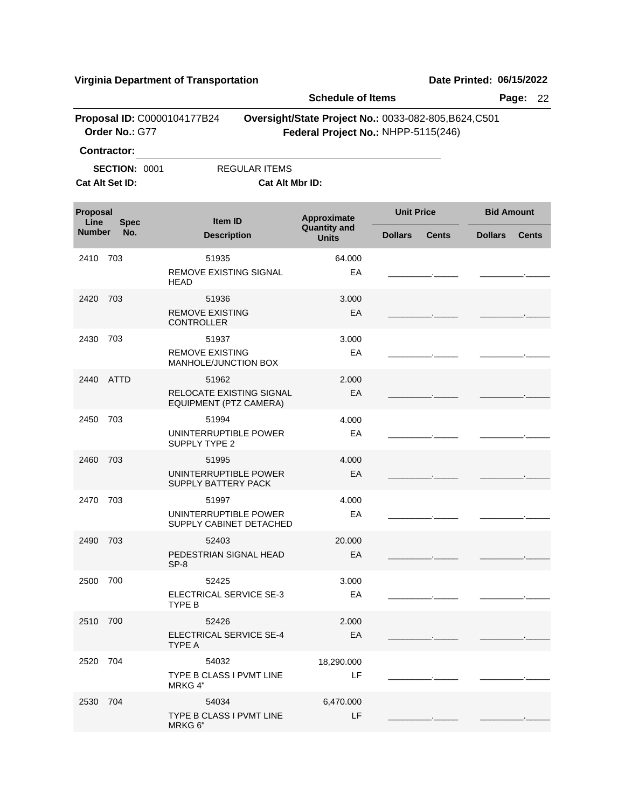|                  |                      |                                                |                          | <b>Schedule of Items</b>                                                                     |                   |              |                   | Page:<br>22  |
|------------------|----------------------|------------------------------------------------|--------------------------|----------------------------------------------------------------------------------------------|-------------------|--------------|-------------------|--------------|
|                  | Order No.: G77       | Proposal ID: C0000104177B24                    |                          | Oversight/State Project No.: 0033-082-805, B624, C501<br>Federal Project No.: NHPP-5115(246) |                   |              |                   |              |
|                  | <b>Contractor:</b>   |                                                |                          |                                                                                              |                   |              |                   |              |
|                  | <b>SECTION: 0001</b> |                                                | <b>REGULAR ITEMS</b>     |                                                                                              |                   |              |                   |              |
|                  | Cat Alt Set ID:      |                                                | Cat Alt Mbr ID:          |                                                                                              |                   |              |                   |              |
| Proposal<br>Line | <b>Spec</b>          | Item ID                                        |                          | Approximate<br><b>Quantity and</b>                                                           | <b>Unit Price</b> |              | <b>Bid Amount</b> |              |
| <b>Number</b>    | No.                  | <b>Description</b>                             |                          | <b>Units</b>                                                                                 | <b>Dollars</b>    | <b>Cents</b> | <b>Dollars</b>    | <b>Cents</b> |
| 2410             | 703                  | 51935                                          |                          | 64.000                                                                                       |                   |              |                   |              |
|                  |                      | <b>REMOVE EXISTING SIGNAL</b><br><b>HEAD</b>   |                          | EA                                                                                           |                   |              |                   |              |
| 2420             | 703                  | 51936                                          |                          | 3.000                                                                                        |                   |              |                   |              |
|                  |                      | <b>REMOVE EXISTING</b><br><b>CONTROLLER</b>    |                          | EA                                                                                           |                   |              |                   |              |
| 2430             | 703                  | 51937                                          |                          | 3.000                                                                                        |                   |              |                   |              |
|                  |                      | <b>REMOVE EXISTING</b><br>MANHOLE/JUNCTION BOX |                          | EA                                                                                           |                   |              |                   |              |
| 2440             | <b>ATTD</b>          | 51962                                          |                          | 2.000                                                                                        |                   |              |                   |              |
|                  |                      | EQUIPMENT (PTZ CAMERA)                         | RELOCATE EXISTING SIGNAL | EA                                                                                           |                   |              |                   |              |
| 2450             | 703                  | 51994                                          |                          | 4.000                                                                                        |                   |              |                   |              |
|                  |                      | UNINTERRUPTIBLE POWER<br><b>SUPPLY TYPE 2</b>  |                          | EA                                                                                           |                   |              |                   |              |
| 2460             | 703                  | 51995                                          |                          | 4.000                                                                                        |                   |              |                   |              |
|                  |                      | UNINTERRUPTIBLE POWER<br>SUPPLY BATTERY PACK   |                          | EA                                                                                           |                   |              |                   |              |
| 2470             | 703                  | 51997                                          |                          | 4.000                                                                                        |                   |              |                   |              |
|                  |                      | UNINTERRUPTIBLE POWER                          | SUPPLY CABINET DETACHED  | EA                                                                                           |                   |              |                   |              |
| 2490 703         |                      | 52403                                          |                          | 20.000                                                                                       |                   |              |                   |              |
|                  |                      | PEDESTRIAN SIGNAL HEAD<br>$SP-8$               |                          | EA                                                                                           |                   |              |                   |              |
| 2500 700         |                      | 52425                                          |                          | 3.000                                                                                        |                   |              |                   |              |
|                  |                      | ELECTRICAL SERVICE SE-3<br>TYPE B              |                          | EA                                                                                           |                   |              |                   |              |
| 2510 700         |                      | 52426                                          |                          | 2.000                                                                                        |                   |              |                   |              |
|                  |                      | <b>ELECTRICAL SERVICE SE-4</b><br>TYPE A       |                          | EA                                                                                           |                   |              |                   |              |
| 2520 704         |                      | 54032                                          |                          | 18,290.000                                                                                   |                   |              |                   |              |
|                  |                      | TYPE B CLASS I PVMT LINE<br>MRKG 4"            |                          | LF                                                                                           |                   |              |                   |              |
| 2530 704         |                      | 54034                                          |                          | 6,470.000                                                                                    |                   |              |                   |              |
|                  |                      | TYPE B CLASS I PVMT LINE<br>MRKG 6"            |                          | LF                                                                                           |                   |              |                   |              |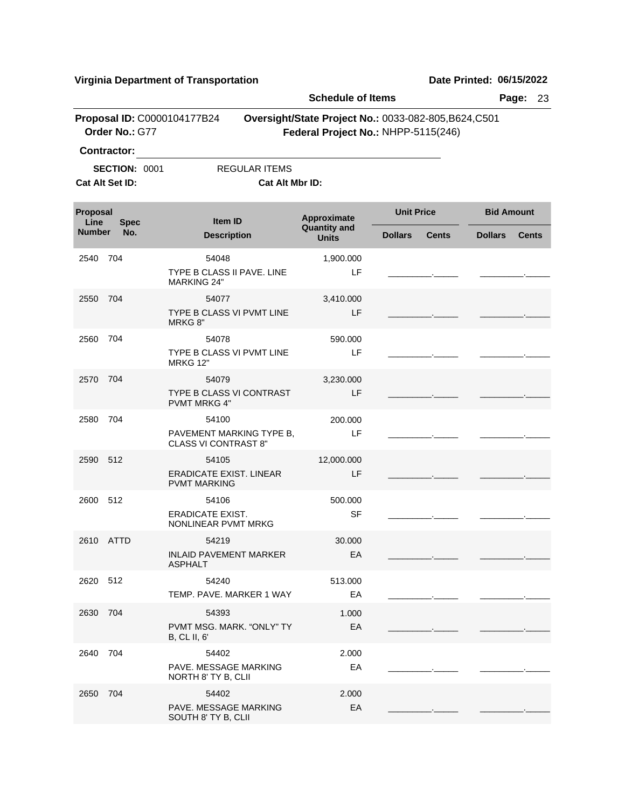|                         |                      |                                                                  |                        | <b>Schedule of Items</b>                                                                     |                   |              |                   | Page:        | 23 |
|-------------------------|----------------------|------------------------------------------------------------------|------------------------|----------------------------------------------------------------------------------------------|-------------------|--------------|-------------------|--------------|----|
|                         | Order No.: G77       | Proposal ID: C0000104177B24                                      |                        | Oversight/State Project No.: 0033-082-805, B624, C501<br>Federal Project No.: NHPP-5115(246) |                   |              |                   |              |    |
|                         | <b>Contractor:</b>   |                                                                  |                        |                                                                                              |                   |              |                   |              |    |
|                         | <b>SECTION: 0001</b> |                                                                  | <b>REGULAR ITEMS</b>   |                                                                                              |                   |              |                   |              |    |
|                         | Cat Alt Set ID:      |                                                                  | <b>Cat Alt Mbr ID:</b> |                                                                                              |                   |              |                   |              |    |
| <b>Proposal</b><br>Line | <b>Spec</b>          | <b>Item ID</b>                                                   |                        | Approximate<br><b>Quantity and</b>                                                           | <b>Unit Price</b> |              | <b>Bid Amount</b> |              |    |
| <b>Number</b>           | No.                  | <b>Description</b>                                               |                        | <b>Units</b>                                                                                 | <b>Dollars</b>    | <b>Cents</b> | <b>Dollars</b>    | <b>Cents</b> |    |
| 2540                    | 704                  | 54048<br>TYPE B CLASS II PAVE, LINE<br><b>MARKING 24"</b>        |                        | 1,900.000<br>LF                                                                              |                   |              |                   |              |    |
| 2550                    | 704                  | 54077<br>TYPE B CLASS VI PVMT LINE                               |                        | 3,410.000<br>LF                                                                              |                   |              |                   |              |    |
| 2560                    | 704                  | MRKG 8"<br>54078<br>TYPE B CLASS VI PVMT LINE<br><b>MRKG 12"</b> |                        | 590,000<br>LF                                                                                |                   |              |                   |              |    |
| 2570                    | 704                  | 54079<br>TYPE B CLASS VI CONTRAST<br><b>PVMT MRKG 4"</b>         |                        | 3,230.000<br>LF                                                                              |                   |              |                   |              |    |
| 2580                    | 704                  | 54100<br>PAVEMENT MARKING TYPE B.<br><b>CLASS VI CONTRAST 8"</b> |                        | 200.000<br>LF                                                                                |                   |              |                   |              |    |
| 2590                    | 512                  | 54105<br><b>ERADICATE EXIST. LINEAR</b><br><b>PVMT MARKING</b>   |                        | 12,000.000<br>LF                                                                             |                   |              |                   |              |    |
| 2600                    | 512                  | 54106<br>ERADICATE EXIST.<br>NONLINEAR PVMT MRKG                 |                        | 500.000<br><b>SF</b>                                                                         |                   |              |                   |              |    |
| 2610 ATTD               |                      | 54219<br><b>INLAID PAVEMENT MARKER</b><br><b>ASPHALT</b>         |                        | 30.000<br>EA                                                                                 |                   |              |                   |              |    |
| 2620 512                |                      | 54240<br>TEMP. PAVE. MARKER 1 WAY                                |                        | 513.000<br>EA                                                                                |                   |              |                   |              |    |
| 2630                    | 704                  | 54393<br>PVMT MSG. MARK. "ONLY" TY<br><b>B, CL II, 6'</b>        |                        | 1.000<br>EA                                                                                  |                   |              |                   |              |    |
| 2640                    | 704                  | 54402<br>PAVE, MESSAGE MARKING<br>NORTH 8' TY B, CLII            |                        | 2.000<br>EA                                                                                  |                   |              |                   |              |    |
| 2650 704                |                      | 54402<br>PAVE. MESSAGE MARKING<br>SOUTH 8' TY B, CLII            |                        | 2.000<br>EA                                                                                  |                   |              |                   |              |    |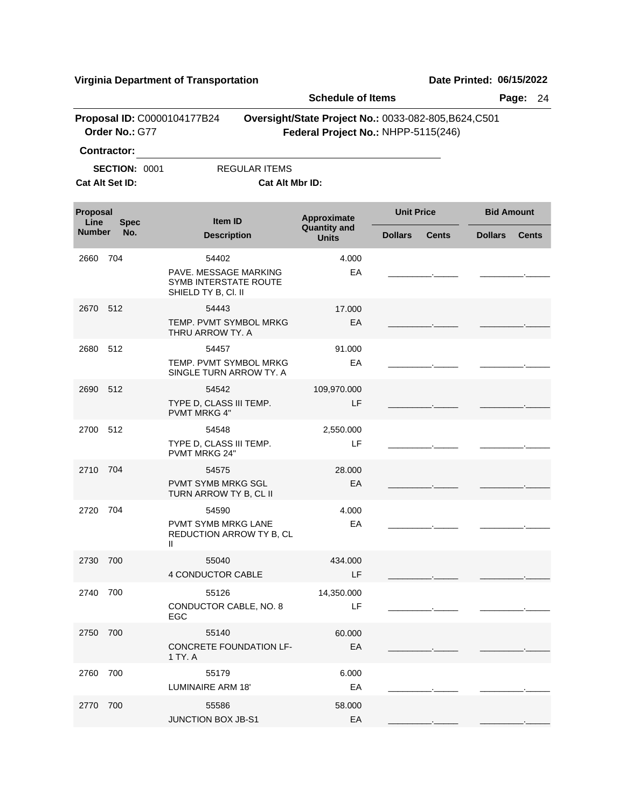|                  |                                                               |                                                                                | <b>Schedule of Items</b>           |                                                                                              | Page:<br>24                    |
|------------------|---------------------------------------------------------------|--------------------------------------------------------------------------------|------------------------------------|----------------------------------------------------------------------------------------------|--------------------------------|
|                  | Order No.: G77                                                | Proposal ID: C0000104177B24                                                    |                                    | Oversight/State Project No.: 0033-082-805, B624, C501<br>Federal Project No.: NHPP-5115(246) |                                |
|                  | <b>Contractor:</b><br><b>SECTION: 0001</b><br>Cat Alt Set ID: | REGULAR ITEMS<br>Cat Alt Mbr ID:                                               |                                    |                                                                                              |                                |
| Proposal<br>Line | <b>Spec</b>                                                   | <b>Item ID</b>                                                                 | Approximate<br><b>Quantity and</b> | <b>Unit Price</b>                                                                            | <b>Bid Amount</b>              |
| <b>Number</b>    | No.                                                           | <b>Description</b>                                                             | <b>Units</b>                       | <b>Dollars</b><br><b>Cents</b>                                                               | <b>Dollars</b><br><b>Cents</b> |
| 2660             | 704                                                           | 54402<br>PAVE. MESSAGE MARKING<br>SYMB INTERSTATE ROUTE<br>SHIELD TY B, CI. II | 4.000<br>EA                        |                                                                                              |                                |
| 2670             | 512                                                           | 54443<br>TEMP. PVMT SYMBOL MRKG<br>THRU ARROW TY. A                            | 17.000<br>EA                       |                                                                                              |                                |
| 2680             | 512                                                           | 54457<br>TEMP. PVMT SYMBOL MRKG<br>SINGLE TURN ARROW TY, A                     | 91.000<br>EA                       |                                                                                              |                                |
| 2690             | 512                                                           | 54542<br>TYPE D, CLASS III TEMP.<br><b>PVMT MRKG 4"</b>                        | 109,970.000<br>LF                  |                                                                                              |                                |
| 2700             | 512                                                           | 54548<br>TYPE D, CLASS III TEMP.<br><b>PVMT MRKG 24"</b>                       | 2,550.000<br>LF                    |                                                                                              |                                |
| 2710             | 704                                                           | 54575<br><b>PVMT SYMB MRKG SGL</b><br>TURN ARROW TY B, CL II                   | 28,000<br>EA                       |                                                                                              |                                |
| 2720             | 704                                                           | 54590<br>PVMT SYMB MRKG LANE<br>REDUCTION ARROW TY B, CL<br>Ш                  | 4.000<br>EA                        |                                                                                              |                                |
| 2730 700         |                                                               | 55040<br>4 CONDUCTOR CABLE                                                     | 434.000<br>LF                      |                                                                                              |                                |
| 2740             | 700                                                           | 55126<br>CONDUCTOR CABLE, NO. 8<br><b>EGC</b>                                  | 14,350.000<br>LF                   |                                                                                              |                                |
| 2750             | 700                                                           | 55140<br>CONCRETE FOUNDATION LF-<br>1 TY. A                                    | 60.000<br>EA                       |                                                                                              |                                |
| 2760             | 700                                                           | 55179<br>LUMINAIRE ARM 18'                                                     | 6.000<br>EA                        |                                                                                              |                                |
| 2770             | 700                                                           | 55586<br>JUNCTION BOX JB-S1                                                    | 58.000<br>EA                       |                                                                                              |                                |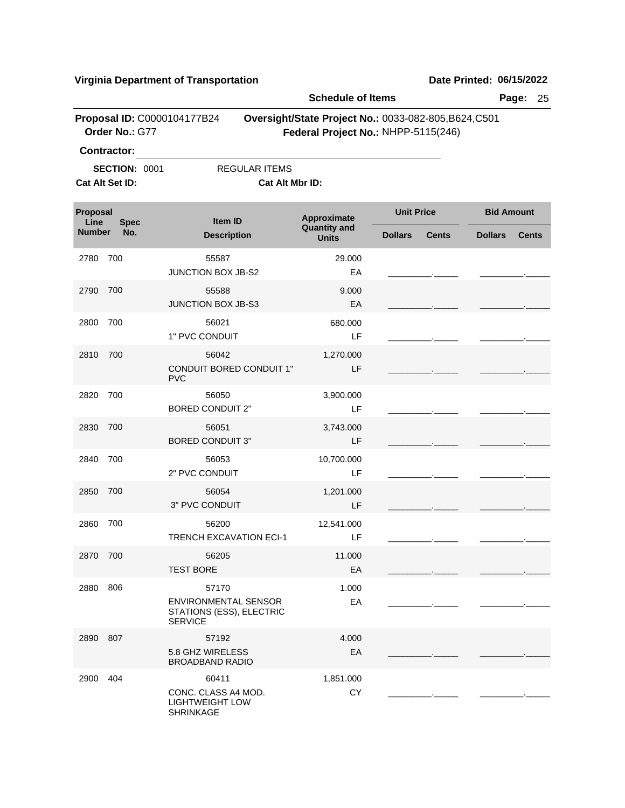|                  |                                               |                                                                                    | <b>Schedule of Items</b>                                                                     |                   |              |                   | Page:<br>25  |
|------------------|-----------------------------------------------|------------------------------------------------------------------------------------|----------------------------------------------------------------------------------------------|-------------------|--------------|-------------------|--------------|
|                  | Proposal ID: C0000104177B24<br>Order No.: G77 |                                                                                    | Oversight/State Project No.: 0033-082-805, B624, C501<br>Federal Project No.: NHPP-5115(246) |                   |              |                   |              |
|                  | <b>Contractor:</b>                            |                                                                                    |                                                                                              |                   |              |                   |              |
|                  | <b>SECTION: 0001</b>                          | REGULAR ITEMS                                                                      |                                                                                              |                   |              |                   |              |
|                  | Cat Alt Set ID:                               | Cat Alt Mbr ID:                                                                    |                                                                                              |                   |              |                   |              |
| Proposal<br>Line | <b>Spec</b>                                   | Item ID                                                                            | Approximate                                                                                  | <b>Unit Price</b> |              | <b>Bid Amount</b> |              |
| <b>Number</b>    | No.                                           | <b>Description</b>                                                                 | <b>Quantity and</b><br><b>Units</b>                                                          | <b>Dollars</b>    | <b>Cents</b> | <b>Dollars</b>    | <b>Cents</b> |
| 2780             | 700                                           | 55587<br>JUNCTION BOX JB-S2                                                        | 29.000<br>EA                                                                                 |                   |              |                   |              |
| 2790             | 700                                           | 55588<br>JUNCTION BOX JB-S3                                                        | 9.000<br>EA                                                                                  |                   |              |                   |              |
| 2800             | 700                                           | 56021<br>1" PVC CONDUIT                                                            | 680.000<br>LF                                                                                |                   |              |                   |              |
| 2810             | 700                                           | 56042<br><b>CONDUIT BORED CONDUIT 1"</b><br><b>PVC</b>                             | 1,270.000<br>LF                                                                              |                   |              |                   |              |
| 2820             | 700                                           | 56050<br><b>BORED CONDUIT 2"</b>                                                   | 3,900.000<br>LF                                                                              |                   |              |                   |              |
| 2830             | 700                                           | 56051<br><b>BORED CONDUIT 3"</b>                                                   | 3,743.000<br>LF                                                                              |                   |              |                   |              |
| 2840             | 700                                           | 56053<br>2" PVC CONDUIT                                                            | 10,700.000<br>LF                                                                             |                   |              |                   |              |
| 2850             | 700                                           | 56054<br>3" PVC CONDUIT                                                            | 1,201.000<br>LF                                                                              |                   |              |                   |              |
| 2860             | 700                                           | 56200<br><b>TRENCH EXCAVATION ECI-1</b>                                            | 12,541.000<br>LF                                                                             |                   |              |                   |              |
| 2870 700         |                                               | 56205<br><b>TEST BORE</b>                                                          | 11.000<br>EA                                                                                 |                   |              |                   |              |
| 2880             | 806                                           | 57170<br><b>ENVIRONMENTAL SENSOR</b><br>STATIONS (ESS), ELECTRIC<br><b>SERVICE</b> | 1.000<br>EA                                                                                  |                   |              |                   |              |
| 2890 807         |                                               | 57192<br>5.8 GHZ WIRELESS<br><b>BROADBAND RADIO</b>                                | 4.000<br>EA                                                                                  |                   |              |                   |              |
| 2900             | 404                                           | 60411<br>CONC. CLASS A4 MOD.<br><b>LIGHTWEIGHT LOW</b><br>SHRINKAGE                | 1,851.000<br>CY                                                                              |                   |              |                   |              |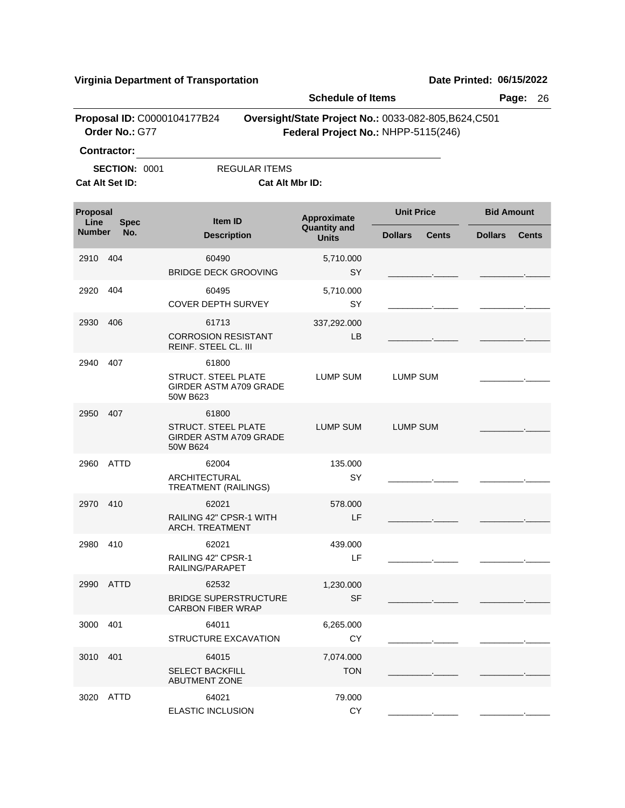|                                 |                                               |                                                                    | <b>Schedule of Items</b>                                                                     | Page:<br>26                    |                                |  |  |
|---------------------------------|-----------------------------------------------|--------------------------------------------------------------------|----------------------------------------------------------------------------------------------|--------------------------------|--------------------------------|--|--|
|                                 | Proposal ID: C0000104177B24<br>Order No.: G77 |                                                                    | Oversight/State Project No.: 0033-082-805, B624, C501<br>Federal Project No.: NHPP-5115(246) |                                |                                |  |  |
|                                 | <b>Contractor:</b>                            |                                                                    |                                                                                              |                                |                                |  |  |
|                                 | <b>SECTION: 0001</b><br>Cat Alt Set ID:       | <b>REGULAR ITEMS</b><br>Cat Alt Mbr ID:                            |                                                                                              |                                |                                |  |  |
| Proposal<br>Line<br><b>Spec</b> |                                               | Item ID                                                            | Approximate                                                                                  | <b>Unit Price</b>              | <b>Bid Amount</b>              |  |  |
| <b>Number</b>                   | No.                                           | <b>Description</b>                                                 | <b>Quantity and</b><br><b>Units</b>                                                          | <b>Dollars</b><br><b>Cents</b> | <b>Dollars</b><br><b>Cents</b> |  |  |
| 2910                            | 404                                           | 60490<br><b>BRIDGE DECK GROOVING</b>                               | 5,710.000<br>SY                                                                              |                                |                                |  |  |
| 2920                            | 404                                           | 60495<br><b>COVER DEPTH SURVEY</b>                                 | 5,710.000<br>SY                                                                              |                                |                                |  |  |
| 2930                            | 406                                           | 61713<br><b>CORROSION RESISTANT</b><br>REINF. STEEL CL. III        | 337,292.000<br>LB.                                                                           |                                |                                |  |  |
| 2940                            | 407                                           | 61800<br>STRUCT. STEEL PLATE<br>GIRDER ASTM A709 GRADE<br>50W B623 | LUMP SUM                                                                                     | LUMP SUM                       |                                |  |  |
| 2950                            | 407                                           | 61800<br>STRUCT. STEEL PLATE<br>GIRDER ASTM A709 GRADE<br>50W B624 | LUMP SUM                                                                                     | LUMP SUM                       |                                |  |  |
| 2960                            | <b>ATTD</b>                                   | 62004<br>ARCHITECTURAL<br><b>TREATMENT (RAILINGS)</b>              | 135.000<br>SY                                                                                |                                |                                |  |  |
| 2970 410                        |                                               | 62021<br>RAILING 42" CPSR-1 WITH<br>ARCH. TREATMENT                | 578.000<br>LF                                                                                |                                |                                |  |  |
| 2980 410                        |                                               | 62021<br>RAILING 42" CPSR-1<br>RAILING/PARAPET                     | 439.000<br>LF                                                                                |                                |                                |  |  |
| 2990 ATTD                       |                                               | 62532<br><b>BRIDGE SUPERSTRUCTURE</b><br><b>CARBON FIBER WRAP</b>  | 1,230.000<br><b>SF</b>                                                                       |                                |                                |  |  |
| 3000                            | 401                                           | 64011<br><b>STRUCTURE EXCAVATION</b>                               | 6,265.000<br>CY                                                                              |                                |                                |  |  |
| 3010 401                        |                                               | 64015<br><b>SELECT BACKFILL</b><br><b>ABUTMENT ZONE</b>            | 7,074.000<br><b>TON</b>                                                                      |                                |                                |  |  |
| 3020 ATTD                       |                                               | 64021<br>ELASTIC INCLUSION                                         | 79.000<br>CY                                                                                 |                                |                                |  |  |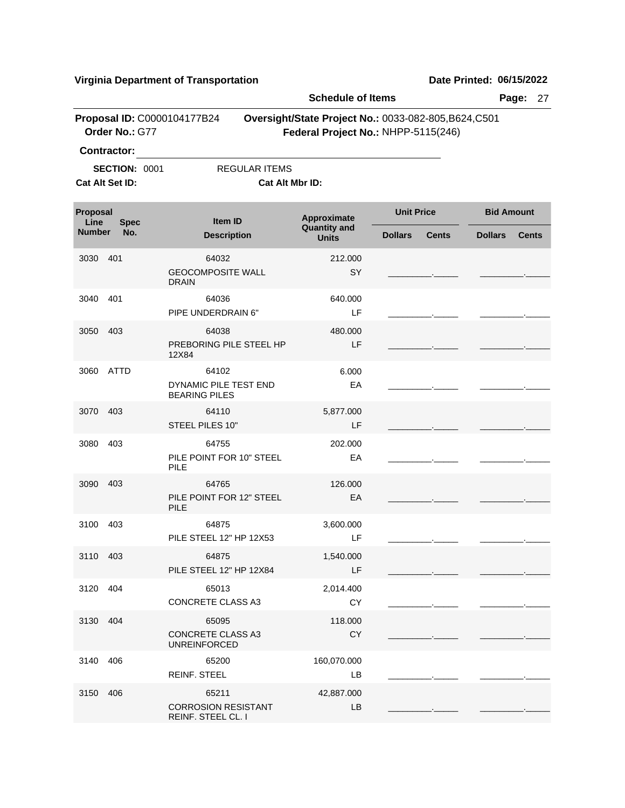|                                               |                    |                                                          |                                                                                              | <b>Schedule of Items</b> |                   | Page:<br>27  |                   |              |  |  |
|-----------------------------------------------|--------------------|----------------------------------------------------------|----------------------------------------------------------------------------------------------|--------------------------|-------------------|--------------|-------------------|--------------|--|--|
| Proposal ID: C0000104177B24<br>Order No.: G77 |                    |                                                          | Oversight/State Project No.: 0033-082-805, B624, C501<br>Federal Project No.: NHPP-5115(246) |                          |                   |              |                   |              |  |  |
|                                               | <b>Contractor:</b> |                                                          |                                                                                              |                          |                   |              |                   |              |  |  |
| <b>SECTION: 0001</b><br>Cat Alt Set ID:       |                    |                                                          | <b>REGULAR ITEMS</b><br>Cat Alt Mbr ID:                                                      |                          |                   |              |                   |              |  |  |
| Proposal<br>Line<br><b>Spec</b>               |                    | Item ID                                                  | Approximate<br><b>Quantity and</b>                                                           |                          | <b>Unit Price</b> |              | <b>Bid Amount</b> |              |  |  |
| <b>Number</b>                                 | No.                |                                                          | <b>Description</b>                                                                           |                          | <b>Dollars</b>    | <b>Cents</b> | <b>Dollars</b>    | <b>Cents</b> |  |  |
| 3030                                          | 401                | 64032<br><b>GEOCOMPOSITE WALL</b><br><b>DRAIN</b>        |                                                                                              | 212.000<br>SY            |                   |              |                   |              |  |  |
| 3040                                          | 401                | 64036<br>PIPE UNDERDRAIN 6"                              |                                                                                              | 640.000<br>LF            |                   |              |                   |              |  |  |
| 3050                                          | 403                | 64038<br>PREBORING PILE STEEL HP<br>12X84                |                                                                                              | 480.000<br>LF            |                   |              |                   |              |  |  |
| 3060                                          | ATTD               | 64102<br>DYNAMIC PILE TEST END<br><b>BEARING PILES</b>   |                                                                                              | 6.000<br>EA              |                   |              |                   |              |  |  |
| 3070                                          | 403                | 64110<br>STEEL PILES 10"                                 |                                                                                              | 5,877.000<br>LF          |                   |              |                   |              |  |  |
| 3080                                          | 403                | 64755<br>PILE POINT FOR 10" STEEL<br>PILE                |                                                                                              | 202.000<br>EA            |                   |              |                   |              |  |  |
| 3090                                          | 403                | 64765<br>PILE POINT FOR 12" STEEL<br>PILE                |                                                                                              | 126.000<br>EA            |                   |              |                   |              |  |  |
| 3100                                          | 403                | 64875<br>PILE STEEL 12" HP 12X53                         |                                                                                              | 3,600.000<br>LF          |                   |              |                   |              |  |  |
| 3110 403                                      |                    | 64875<br>PILE STEEL 12" HP 12X84                         |                                                                                              | 1,540.000<br>LF.         |                   |              |                   |              |  |  |
| 3120 404                                      |                    | 65013<br><b>CONCRETE CLASS A3</b>                        |                                                                                              | 2,014.400<br><b>CY</b>   |                   |              |                   |              |  |  |
| 3130 404                                      |                    | 65095<br><b>CONCRETE CLASS A3</b><br><b>UNREINFORCED</b> |                                                                                              | 118.000<br><b>CY</b>     |                   |              |                   |              |  |  |
| 3140 406                                      |                    | 65200<br><b>REINF. STEEL</b>                             |                                                                                              | 160,070.000<br>LB        |                   |              |                   |              |  |  |
| 3150 406                                      |                    | 65211<br><b>CORROSION RESISTANT</b>                      |                                                                                              | 42,887.000<br>LB         |                   |              |                   |              |  |  |

REINF. STEEL CL. I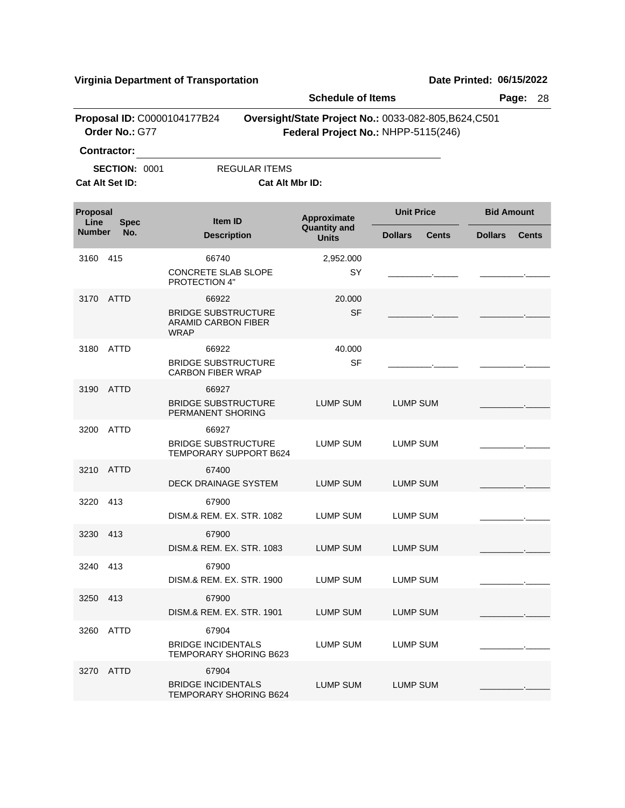|                         |                                         |                                                                                  | <b>Schedule of Items</b>                           | Page:<br>28                                                                                  |                                |  |
|-------------------------|-----------------------------------------|----------------------------------------------------------------------------------|----------------------------------------------------|----------------------------------------------------------------------------------------------|--------------------------------|--|
|                         | Order No.: G77                          | Proposal ID: C0000104177B24                                                      |                                                    | Oversight/State Project No.: 0033-082-805, B624, C501<br>Federal Project No.: NHPP-5115(246) |                                |  |
|                         | <b>Contractor:</b>                      |                                                                                  |                                                    |                                                                                              |                                |  |
|                         | <b>SECTION: 0001</b><br>Cat Alt Set ID: | REGULAR ITEMS<br><b>Cat Alt Mbr ID:</b>                                          |                                                    |                                                                                              |                                |  |
| <b>Proposal</b><br>Line | <b>Spec</b>                             | Item ID                                                                          | Approximate<br><b>Quantity and</b><br><b>Units</b> | <b>Unit Price</b>                                                                            | <b>Bid Amount</b>              |  |
| <b>Number</b>           | No.                                     | <b>Description</b>                                                               |                                                    | <b>Dollars</b><br><b>Cents</b>                                                               | <b>Dollars</b><br><b>Cents</b> |  |
| 3160                    | 415                                     | 66740<br><b>CONCRETE SLAB SLOPE</b><br>PROTECTION 4"                             | 2,952.000<br>SY                                    |                                                                                              |                                |  |
| 3170                    | <b>ATTD</b>                             | 66922<br><b>BRIDGE SUBSTRUCTURE</b><br><b>ARAMID CARBON FIBER</b><br><b>WRAP</b> | 20.000<br><b>SF</b>                                |                                                                                              |                                |  |
| 3180                    | <b>ATTD</b>                             | 66922<br><b>BRIDGE SUBSTRUCTURE</b><br><b>CARBON FIBER WRAP</b>                  | 40.000<br><b>SF</b>                                |                                                                                              |                                |  |
| 3190                    | <b>ATTD</b>                             | 66927<br><b>BRIDGE SUBSTRUCTURE</b><br>PERMANENT SHORING                         | LUMP SUM                                           | LUMP SUM                                                                                     |                                |  |
| 3200                    | ATTD                                    | 66927<br><b>BRIDGE SUBSTRUCTURE</b><br>TEMPORARY SUPPORT B624                    | LUMP SUM                                           | LUMP SUM                                                                                     |                                |  |
| 3210                    | <b>ATTD</b>                             | 67400<br><b>DECK DRAINAGE SYSTEM</b>                                             | LUMP SUM                                           | <b>LUMP SUM</b>                                                                              |                                |  |
| 3220                    | 413                                     | 67900<br>DISM.& REM. EX. STR. 1082                                               | <b>LUMP SUM</b>                                    | LUMP SUM                                                                                     |                                |  |
| 3230                    | 413                                     | 67900<br>DISM.& REM. EX. STR. 1083                                               | LUMP SUM                                           | <b>LUMP SUM</b>                                                                              |                                |  |
| 3240 413                |                                         | 67900<br>DISM.& REM. EX. STR. 1900                                               | LUMP SUM                                           | <b>LUMP SUM</b>                                                                              |                                |  |
| 3250                    | 413                                     | 67900<br>DISM.& REM. EX. STR. 1901                                               | LUMP SUM                                           | LUMP SUM                                                                                     |                                |  |
| 3260                    | ATTD                                    | 67904<br><b>BRIDGE INCIDENTALS</b><br>TEMPORARY SHORING B623                     | LUMP SUM                                           | LUMP SUM                                                                                     |                                |  |
| 3270                    | ATTD                                    | 67904<br><b>BRIDGE INCIDENTALS</b><br>TEMPORARY SHORING B624                     | <b>LUMP SUM</b>                                    | LUMP SUM                                                                                     |                                |  |